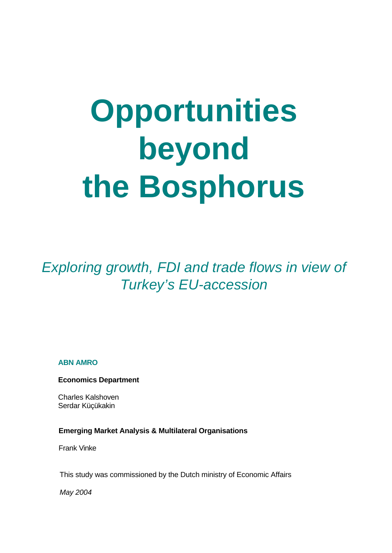# **Opportunities beyond the Bosphorus**

*Exploring growth, FDI and trade flows in view of Turkey's EU-accession*

### **ABN AMRO**

**Economics Department**

Charles Kalshoven Serdar Küçükakin

### **Emerging Market Analysis & Multilateral Organisations**

Frank Vinke

This study was commissioned by the Dutch ministry of Economic Affairs

*May 2004*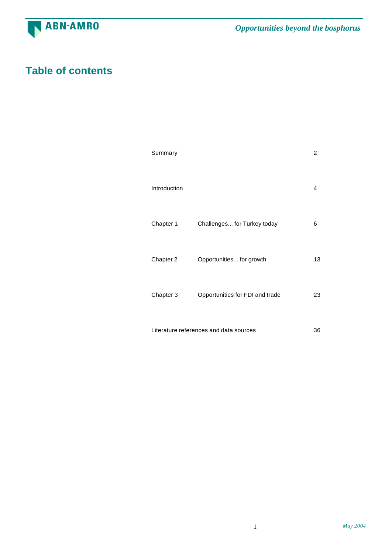

# **Table of contents**

|                                              | Summary      |                                 | $\overline{2}$ |  |
|----------------------------------------------|--------------|---------------------------------|----------------|--|
|                                              | Introduction |                                 | 4              |  |
|                                              | Chapter 1    | Challenges for Turkey today     | 6              |  |
|                                              | Chapter 2    | Opportunities for growth        | 13             |  |
|                                              | Chapter 3    | Opportunities for FDI and trade | 23             |  |
| Literature references and data sources<br>36 |              |                                 |                |  |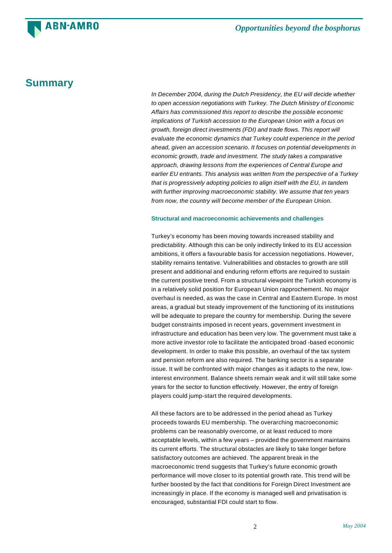### **Summary**

**ABN·AMRO** 

*In December 2004, during the Dutch Presidency, the EU will decide whether to open accession negotiations with Turkey. The Dutch Ministry of Economic Affairs has commissioned this report to describe the possible economic implications of Turkish accession to the European Union with a focus on growth, foreign direct investments (FDI) and trade flows. This report will evaluate the economic dynamics that Turkey could experience in the period ahead, given an accession scenario. It focuses on potential developments in economic growth, trade and investment. The study takes a comparative approach, drawing lessons from the experiences of Central Europe and earlier EU entrants. This analysis was written from the perspective of a Turkey that is progressively adopting policies to align itself with the EU, in tandem with further improving macroeconomic stability. We assume that ten years from now, the country will become member of the European Union.*

### **Structural and macroeconomic achievements and challenges**

Turkey's economy has been moving towards increased stability and predictability. Although this can be only indirectly linked to its EU accession ambitions, it offers a favourable basis for accession negotiations. However, stability remains tentative. Vulnerabilities and obstacles to growth are still present and additional and enduring reform efforts are required to sustain the current positive trend. From a structural viewpoint the Turkish economy is in a relatively solid position for European Union rapprochement. No major overhaul is needed, as was the case in Central and Eastern Europe. In most areas, a gradual but steady improvement of the functioning of its institutions will be adequate to prepare the country for membership. During the severe budget constraints imposed in recent years, government investment in infrastructure and education has been very low. The government must take a more active investor role to facilitate the anticipated broad -based economic development. In order to make this possible, an overhaul of the tax system and pension reform are also required. The banking sector is a separate issue. It will be confronted with major changes as it adapts to the new, lowinterest environment. Balance sheets remain weak and it will still take some years for the sector to function effectively. However, the entry of foreign players could jump-start the required developments.

All these factors are to be addressed in the period ahead as Turkey proceeds towards EU membership. The overarching macroeconomic problems can be reasonably overcome, or at least reduced to more acceptable levels, within a few years – provided the government maintains its current efforts. The structural obstacles are likely to take longer before satisfactory outcomes are achieved. The apparent break in the macroeconomic trend suggests that Turkey's future economic growth performance will move closer to its potential growth rate. This trend will be further boosted by the fact that conditions for Foreign Direct Investment are increasingly in place. If the economy is managed well and privatisation is encouraged, substantial FDI could start to flow.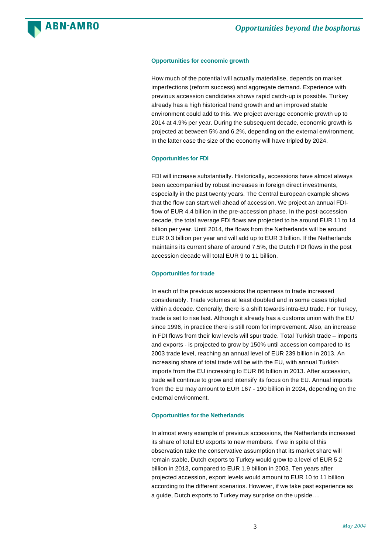

### **Opportunities for economic growth**

How much of the potential will actually materialise, depends on market imperfections (reform success) and aggregate demand. Experience with previous accession candidates shows rapid catch-up is possible. Turkey already has a high historical trend growth and an improved stable environment could add to this. We project average economic growth up to 2014 at 4.9% per year. During the subsequent decade, economic growth is projected at between 5% and 6.2%, depending on the external environment. In the latter case the size of the economy will have tripled by 2024.

### **Opportunities for FDI**

FDI will increase substantially. Historically, accessions have almost always been accompanied by robust increases in foreign direct investments, especially in the past twenty years. The Central European example shows that the flow can start well ahead of accession. We project an annual FDIflow of EUR 4.4 billion in the pre-accession phase. In the post-accession decade, the total average FDI flows are projected to be around EUR 11 to 14 billion per year. Until 2014, the flows from the Netherlands will be around EUR 0.3 billion per year and will add up to EUR 3 billion. If the Netherlands maintains its current share of around 7.5%, the Dutch FDI flows in the post accession decade will total EUR 9 to 11 billion.

### **Opportunities for trade**

In each of the previous accessions the openness to trade increased considerably. Trade volumes at least doubled and in some cases tripled within a decade. Generally, there is a shift towards intra-EU trade. For Turkey, trade is set to rise fast. Although it already has a customs union with the EU since 1996, in practice there is still room for improvement. Also, an increase in FDI flows from their low levels will spur trade. Total Turkish trade – imports and exports - is projected to grow by 150% until accession compared to its 2003 trade level, reaching an annual level of EUR 239 billion in 2013. An increasing share of total trade will be with the EU, with annual Turkish imports from the EU increasing to EUR 86 billion in 2013. After accession, trade will continue to grow and intensify its focus on the EU. Annual imports from the EU may amount to EUR 167 - 190 billion in 2024, depending on the external environment.

### **Opportunities for the Netherlands**

In almost every example of previous accessions, the Netherlands increased its share of total EU exports to new members. If we in spite of this observation take the conservative assumption that its market share will remain stable, Dutch exports to Turkey would grow to a level of EUR 5.2 billion in 2013, compared to EUR 1.9 billion in 2003. Ten years after projected accession, export levels would amount to EUR 10 to 11 billion according to the different scenarios. However, if we take past experience as a guide, Dutch exports to Turkey may surprise on the upside.…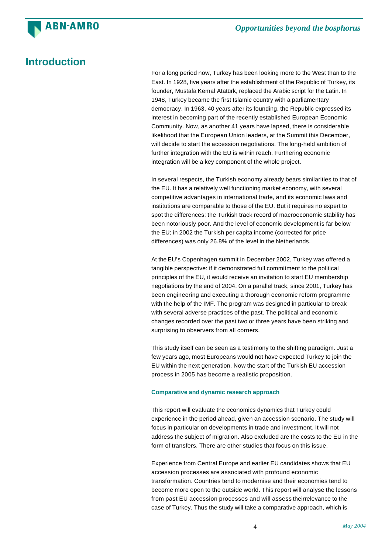

# **Introduction**

For a long period now, Turkey has been looking more to the West than to the East. In 1928, five years after the establishment of the Republic of Turkey, its founder, Mustafa Kemal Atatürk, replaced the Arabic script for the Latin. In 1948, Turkey became the first Islamic country with a parliamentary democracy. In 1963, 40 years after its founding, the Republic expressed its interest in becoming part of the recently established European Economic Community. Now, as another 41 years have lapsed, there is considerable likelihood that the European Union leaders, at the Summit this December, will decide to start the accession negotiations. The long-held ambition of further integration with the EU is within reach. Furthering economic integration will be a key component of the whole project.

In several respects, the Turkish economy already bears similarities to that of the EU. It has a relatively well functioning market economy, with several competitive advantages in international trade, and its economic laws and institutions are comparable to those of the EU. But it requires no expert to spot the differences: the Turkish track record of macroeconomic stability has been notoriously poor. And the level of economic development is far below the EU; in 2002 the Turkish per capita income (corrected for price differences) was only 26.8% of the level in the Netherlands.

At the EU's Copenhagen summit in December 2002, Turkey was offered a tangible perspective: if it demonstrated full commitment to the political principles of the EU, it would receive an invitation to start EU membership negotiations by the end of 2004. On a parallel track, since 2001, Turkey has been engineering and executing a thorough economic reform programme with the help of the IMF. The program was designed in particular to break with several adverse practices of the past. The political and economic changes recorded over the past two or three years have been striking and surprising to observers from all corners.

This study itself can be seen as a testimony to the shifting paradigm. Just a few years ago, most Europeans would not have expected Turkey to join the EU within the next generation. Now the start of the Turkish EU accession process in 2005 has become a realistic proposition.

### **Comparative and dynamic research approach**

This report will evaluate the economics dynamics that Turkey could experience in the period ahead, given an accession scenario. The study will focus in particular on developments in trade and investment. It will not address the subject of migration. Also excluded are the costs to the EU in the form of transfers. There are other studies that focus on this issue.

Experience from Central Europe and earlier EU candidates shows that EU accession processes are associated with profound economic transformation. Countries tend to modernise and their economies tend to become more open to the outside world. This report will analyse the lessons from past EU accession processes and will assess theirrelevance to the case of Turkey. Thus the study will take a comparative approach, which is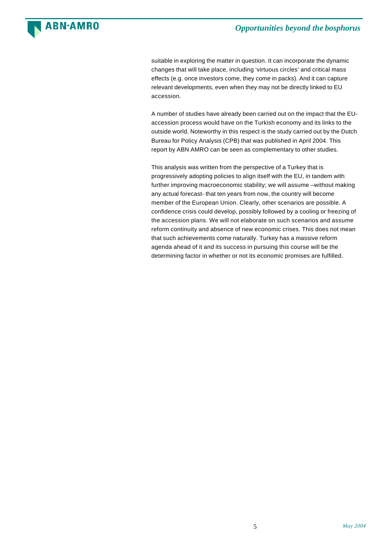

suitable in exploring the matter in question. It can incorporate the dynamic changes that will take place, including 'virtuous circles' and critical mass effects (e.g. once investors come, they come in packs). And it can capture relevant developments, even when they may not be directly linked to EU accession.

A number of studies have already been carried out on the impact that the EUaccession process would have on the Turkish economy and its links to the outside world. Noteworthy in this respect is the study carried out by the Dutch Bureau for Policy Analysis (CPB) that was published in April 2004. This report by ABN AMRO can be seen as complementary to other studies.

This analysis was written from the perspective of a Turkey that is progressively adopting policies to align itself with the EU, in tandem with further improving macroeconomic stability; we will assume –without making any actual forecast- that ten years from now, the country will become member of the European Union. Clearly, other scenarios are possible. A confidence crisis could develop, possibly followed by a cooling or freezing of the accession plans. We will not elaborate on such scenarios and assume reform continuity and absence of new economic crises. This does not mean that such achievements come naturally. Turkey has a massive reform agenda ahead of it and its success in pursuing this course will be the determining factor in whether or not its economic promises are fulfilled.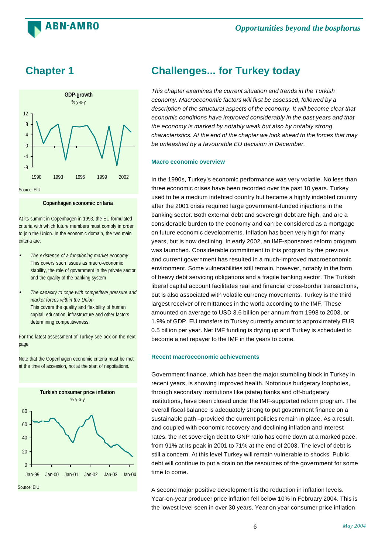



**ABN·AMRO** 

### **Copenhagen economic critaria**

At its summit in Copenhagen in 1993, the EU formulated criteria with which future members must comply in order to join the Union. In the economic domain, the two main criteria are:

- *The existence of a functioning market economy* This covers such issues as macro-economic stability, the role of government in the private sector and the quality of the banking system
- *The capacity to cope with competitive pressure and market forces within the Union* This covers the quality and flexibility of human capital, education, infrastructure and other factors determining competitiveness.

For the latest assessment of Turkey see box on the next page.

Note that the Copenhagen economic criteria must be met at the time of accession, not at the start of negotiations.



## **Chapter 1 Challenges... for Turkey today**

*This chapter examines the current situation and trends in the Turkish economy. Macroeconomic factors will first be assessed, followed by a description of the structural aspects of the economy. It will become clear that economic conditions have improved considerably in the past years and that the economy is marked by notably weak but also by notably strong characteristics. At the end of the chapter we look ahead to the forces that may be unleashed by a favourable EU decision in December.*

### **Macro economic overview**

In the 1990s, Turkey's economic performance was very volatile. No less than three economic crises have been recorded over the past 10 years. Turkey used to be a medium indebted country but became a highly indebted country after the 2001 crisis required large government-funded injections in the banking sector. Both external debt and sovereign debt are high, and are a considerable burden to the economy and can be considered as a mortgage on future economic developments. Inflation has been very high for many years, but is now declining. In early 2002, an IMF-sponsored reform program was launched. Considerable commitment to this program by the previous and current government has resulted in a much-improved macroeconomic environment. Some vulnerabilities still remain, however, notably in the form of heavy debt servicing obligations and a fragile banking sector. The Turkish liberal capital account facilitates real and financial cross-border transactions, but is also associated with volatile currency movements. Turkey is the third largest receiver of remittances in the world according to the IMF. These amounted on average to USD 3.6 billion per annum from 1998 to 2003, or 1.9% of GDP. EU transfers to Turkey currently amount to approximately EUR 0.5 billion per year. Net IMF funding is drying up and Turkey is scheduled to become a net repayer to the IMF in the years to come.

### **Recent macroeconomic achievements**

Government finance, which has been the major stumbling block in Turkey in recent years, is showing improved health. Notorious budgetary loopholes, through secondary institutions like (state) banks and off-budgetary institutions, have been closed under the IMF-supported reform program. The overall fiscal balance is adequately strong to put government finance on a sustainable path –provided the current policies remain in place. As a result, and coupled with economic recovery and declining inflation and interest rates, the net sovereign debt to GNP ratio has come down at a marked pace, from 91% at its peak in 2001 to 71% at the end of 2003. The level of debt is still a concern. At this level Turkey will remain vulnerable to shocks. Public debt will continue to put a drain on the resources of the government for some time to come.

A second major positive development is the reduction in inflation levels. Year-on-year producer price inflation fell below 10% in February 2004. This is the lowest level seen in over 30 years. Year on year consumer price inflation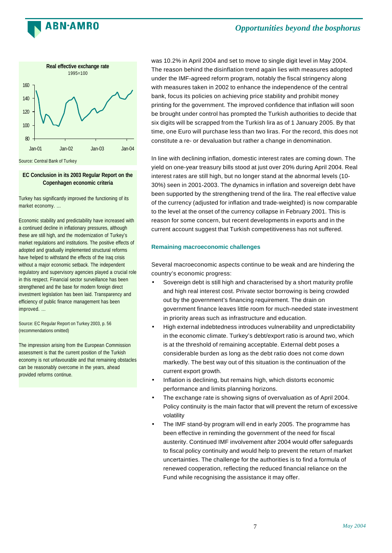



### **EC Conclusion in its 2003 Regular Report on the Copenhagen economic criteria**

Turkey has significantly improved the functioning of its market economy. …

Economic stability and predictability have increased with a continued decline in inflationary pressures, although these are still high, and the modernization of Turkey's market regulations and institutions. The positive effects of adopted and gradually implemented structural reforms have helped to withstand the effects of the Iraq crisis without a major economic setback. The independent regulatory and supervisory agencies played a crucial role in this respect. Financial sector surveillance has been strengthened and the base for modern foreign direct investment legislation has been laid. Transparency and efficiency of public finance management has been improved. …

Source: EC Regular Report on Turkey 2003, p. 56 (recommendations omitted)

The impression arising from the European Commission assessment is that the current position of the Turkish economy is not unfavourable and that remaining obstacles can be reasonably overcome in the years, ahead provided reforms continue.

was 10.2% in April 2004 and set to move to single digit level in May 2004. The reason behind the disinflation trend again lies with measures adopted under the IMF-agreed reform program, notably the fiscal stringency along with measures taken in 2002 to enhance the independence of the central bank, focus its policies on achieving price stability and prohibit money printing for the government. The improved confidence that inflation will soon be brought under control has prompted the Turkish authorities to decide that six digits will be scrapped from the Turkish lira as of 1 January 2005. By that time, one Euro will purchase less than two liras. For the record, this does not constitute a re- or devaluation but rather a change in denomination.

In line with declining inflation, domestic interest rates are coming down. The yield on one-year treasury bills stood at just over 20% during April 2004. Real interest rates are still high, but no longer stand at the abnormal levels (10- 30%) seen in 2001-2003. The dynamics in inflation and sovereign debt have been supported by the strengthening trend of the lira. The real effective value of the currency (adjusted for inflation and trade-weighted) is now comparable to the level at the onset of the currency collapse in February 2001. This is reason for some concern, but recent developments in exports and in the current account suggest that Turkish competitiveness has not suffered.

### **Remaining macroeconomic challenges**

Several macroeconomic aspects continue to be weak and are hindering the country's economic progress:

- Sovereign debt is still high and characterised by a short maturity profile and high real interest cost. Private sector borrowing is being crowded out by the government's financing requirement. The drain on government finance leaves little room for much-needed state investment in priority areas such as infrastructure and education.
- High external indebtedness introduces vulnerability and unpredictability in the economic climate. Turkey's debt/export ratio is around two, which is at the threshold of remaining acceptable. External debt poses a considerable burden as long as the debt ratio does not come down markedly. The best way out of this situation is the continuation of the current export growth.
- Inflation is declining, but remains high, which distorts economic performance and limits planning horizons.
- The exchange rate is showing signs of overvaluation as of April 2004. Policy continuity is the main factor that will prevent the return of excessive volatility
- The IMF stand-by program will end in early 2005. The programme has been effective in reminding the government of the need for fiscal austerity. Continued IMF involvement after 2004 would offer safeguards to fiscal policy continuity and would help to prevent the return of market uncertainties. The challenge for the authorities is to find a formula of renewed cooperation, reflecting the reduced financial reliance on the Fund while recognising the assistance it may offer.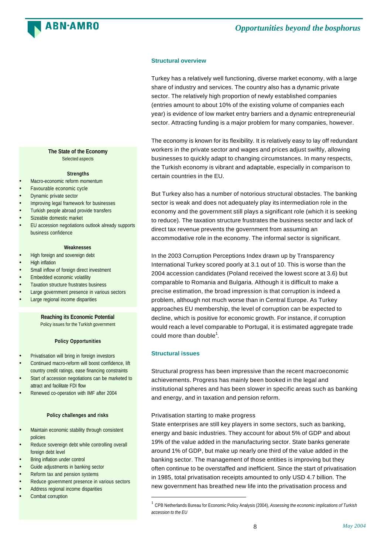

### **Structural overview**

Turkey has a relatively well functioning, diverse market economy, with a large share of industry and services. The country also has a dynamic private sector. The relatively high proportion of newly established companies (entries amount to about 10% of the existing volume of companies each year) is evidence of low market entry barriers and a dynamic entrepreneurial sector. Attracting funding is a major problem for many companies, however.

The economy is known for its flexibility. It is relatively easy to lay off redundant workers in the private sector and wages and prices adjust swiftly, allowing businesses to quickly adapt to changing circumstances. In many respects, the Turkish economy is vibrant and adaptable, especially in comparison to certain countries in the EU.

But Turkey also has a number of notorious structural obstacles. The banking sector is weak and does not adequately play its intermediation role in the economy and the government still plays a significant role (which it is seeking to reduce). The taxation structure frustrates the business sector and lack of direct tax revenue prevents the government from assuming an accommodative role in the economy. The informal sector is significant.

In the 2003 Corruption Perceptions Index drawn up by Transparency International Turkey scored poorly at 3.1 out of 10. This is worse than the 2004 accession candidates (Poland received the lowest score at 3.6) but comparable to Romania and Bulgaria. Although it is difficult to make a precise estimation, the broad impression is that corruption is indeed a problem, although not much worse than in Central Europe. As Turkey approaches EU membership, the level of corruption can be expected to decline, which is positive for economic growth. For instance, if corruption would reach a level comparable to Portugal, it is estimated aggregate trade could more than double $^{\rm 1}$ .

### **Structural issues**

l

Structural progress has been impressive than the recent macroeconomic achievements. Progress has mainly been booked in the legal and institutional spheres and has been slower in specific areas such as banking and energy, and in taxation and pension reform.

### Privatisation starting to make progress

State enterprises are still key players in some sectors, such as banking, energy and basic industries. They account for about 5% of GDP and about 19% of the value added in the manufacturing sector. State banks generate around 1% of GDP, but make up nearly one third of the value added in the banking sector. The management of those entities is improving but they often continue to be overstaffed and inefficient. Since the start of privatisation in 1985, total privatisation receipts amounted to only USD 4.7 billion. The new government has breathed new life into the privatisation process and

**The State of the Economy** Selected aspects

#### **Strengths**

- Macro-economic reform momentum
- Favourable economic cycle
- Dynamic private sector
- Improving legal framework for businesses
- Turkish people abroad provide transfers
- Sizeable domestic market
- EU accession negotiations outlook already supports business confidence

### **Weaknesses**

- High foreign and sovereign debt
- High inflation
- Small inflow of foreign direct investment
- Embedded economic volatility
- Taxation structure frustrates business
- Large government presence in various sectors
- Large regional income disparities

### **Reaching its Economic Potential**

Policy issues for the Turkish government

### **Policy Opportunities**

- Privatisation will bring in foreign investors
- Continued macro-reform will boost confidence, lift country credit ratings, ease financing constraints
- Start of accession negotiations can be marketed to attract and facilitate FDI flow
- Renewed co-operation with IMF after 2004

### **Policy challenges and risks**

- **Maintain economic stability through consistent** policies
- Reduce sovereign debt while controlling overall foreign debt level and the control of the control of
- Bring inflation under control
- Guide adjustments in banking sector
- Reform tax and pension systems
- Reduce government presence in various sectors
- Address regional income disparities
- Combat corruption

<sup>1</sup> CPB Netherlands Bureau for Economic Policy Analysis (2004), *Assessing the economic implications of Turkish accession to the EU*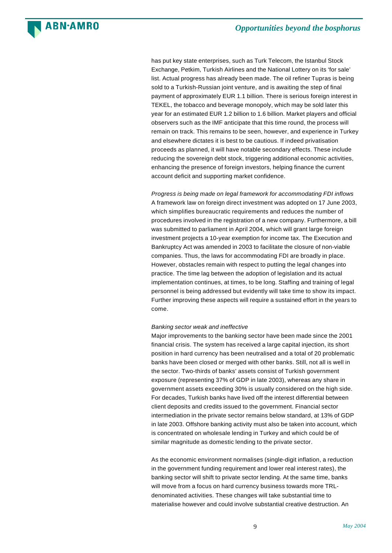

has put key state enterprises, such as Turk Telecom, the Istanbul Stock Exchange, Petkim, Turkish Airlines and the National Lottery on its 'for sale' list. Actual progress has already been made. The oil refiner Tupras is being sold to a Turkish-Russian joint venture, and is awaiting the step of final payment of approximately EUR 1.1 billion. There is serious foreign interest in TEKEL, the tobacco and beverage monopoly, which may be sold later this year for an estimated EUR 1.2 billion to 1.6 billion. Market players and official observers such as the IMF anticipate that this time round, the process will remain on track. This remains to be seen, however, and experience in Turkey and elsewhere dictates it is best to be cautious. If indeed privatisation proceeds as planned, it will have notable secondary effects. These include reducing the sovereign debt stock, triggering additional economic activities, enhancing the presence of foreign investors, helping finance the current account deficit and supporting market confidence.

*Progress is being made on legal framework for accommodating FDI inflows* A framework law on foreign direct investment was adopted on 17 June 2003, which simplifies bureaucratic requirements and reduces the number of procedures involved in the registration of a new company. Furthermore, a bill was submitted to parliament in April 2004, which will grant large foreign investment projects a 10-year exemption for income tax. The Execution and Bankruptcy Act was amended in 2003 to facilitate the closure of non-viable companies. Thus, the laws for accommodating FDI are broadly in place. However, obstacles remain with respect to putting the legal changes into practice. The time lag between the adoption of legislation and its actual implementation continues, at times, to be long. Staffing and training of legal personnel is being addressed but evidently will take time to show its impact. Further improving these aspects will require a sustained effort in the years to come.

### *Banking sector weak and ineffective*

**ABN·AMRO** 

Major improvements to the banking sector have been made since the 2001 financial crisis. The system has received a large capital injection, its short position in hard currency has been neutralised and a total of 20 problematic banks have been closed or merged with other banks. Still, not all is well in the sector. Two-thirds of banks' assets consist of Turkish government exposure (representing 37% of GDP in late 2003), whereas any share in government assets exceeding 30% is usually considered on the high side. For decades, Turkish banks have lived off the interest differential between client deposits and credits issued to the government. Financial sector intermediation in the private sector remains below standard, at 13% of GDP in late 2003. Offshore banking activity must also be taken into account, which is concentrated on wholesale lending in Turkey and which could be of similar magnitude as domestic lending to the private sector.

As the economic environment normalises (single-digit inflation, a reduction in the government funding requirement and lower real interest rates), the banking sector will shift to private sector lending. At the same time, banks will move from a focus on hard currency business towards more TRLdenominated activities. These changes will take substantial time to materialise however and could involve substantial creative destruction. An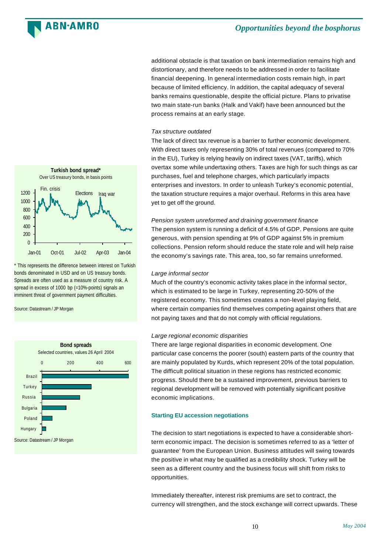### ARN∙AMRO

### *Opportunities beyond the bosphorus*

additional obstacle is that taxation on bank intermediation remains high and distortionary, and therefore needs to be addressed in order to facilitate financial deepening. In general intermediation costs remain high, in part because of limited efficiency. In addition, the capital adequacy of several banks remains questionable, despite the official picture. Plans to privatise two main state-run banks (Halk and Vakif) have been announced but the process remains at an early stage.

### *Tax structure outdated*

The lack of direct tax revenue is a barrier to further economic development. With direct taxes only representing 30% of total revenues (compared to 70% in the EU), Turkey is relying heavily on indirect taxes (VAT, tariffs), which overtax some while undertaxing others. Taxes are high for such things as car purchases, fuel and telephone charges, which particularly impacts enterprises and investors. In order to unleash Turkey's economic potential, the taxation structure requires a major overhaul. Reforms in this area have yet to get off the ground.

*Pension system unreformed and draining government finance* The pension system is running a deficit of 4.5% of GDP. Pensions are quite generous, with pension spending at 9% of GDP against 5% in premium collections. Pension reform should reduce the state role and will help raise the economy's savings rate. This area, too, so far remains unreformed.

### *Large informal sector*

Much of the country's economic activity takes place in the informal sector, which is estimated to be large in Turkey, representing 20-50% of the registered economy. This sometimes creates a non-level playing field, where certain companies find themselves competing against others that are not paying taxes and that do not comply with official regulations.

### *Large regional economic disparities*

There are large regional disparities in economic development. One particular case concerns the poorer (south) eastern parts of the country that are mainly populated by Kurds, which represent 20% of the total population. The difficult political situation in these regions has restricted economic progress. Should there be a sustained improvement, previous barriers to regional development will be removed with potentially significant positive economic implications.

### **Starting EU accession negotiations**

The decision to start negotiations is expected to have a considerable shortterm economic impact. The decision is sometimes referred to as a 'letter of guarantee' from the European Union. Business attitudes will swing towards the positive in what may be qualified as a credibility shock. Turkey will be seen as a different country and the business focus will shift from risks to opportunities.

Immediately thereafter, interest risk premiums are set to contract, the currency will strengthen, and the stock exchange will correct upwards. These



\* This represents the difference between interest on Turkish bonds denominated in USD and on US treasury bonds. Spreads are often used as a measure of country risk. A spread in excess of 1000 bp (=10%-points) signals an imminent threat of government payment difficulties.

Source: Datastream / JP Morgan

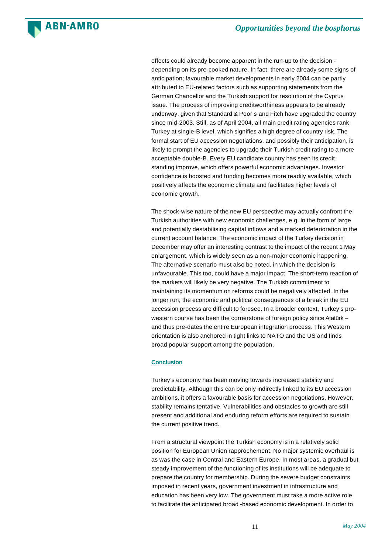effects could already become apparent in the run-up to the decision depending on its pre-cooked nature. In fact, there are already some signs of anticipation; favourable market developments in early 2004 can be partly attributed to EU-related factors such as supporting statements from the German Chancellor and the Turkish support for resolution of the Cyprus issue. The process of improving creditworthiness appears to be already underway, given that Standard & Poor's and Fitch have upgraded the country since mid-2003. Still, as of April 2004, all main credit rating agencies rank Turkey at single-B level, which signifies a high degree of country risk. The formal start of EU accession negotiations, and possibly their anticipation, is likely to prompt the agencies to upgrade their Turkish credit rating to a more acceptable double-B. Every EU candidate country has seen its credit standing improve, which offers powerful economic advantages. Investor confidence is boosted and funding becomes more readily available, which positively affects the economic climate and facilitates higher levels of economic growth.

The shock-wise nature of the new EU perspective may actually confront the Turkish authorities with new economic challenges, e.g. in the form of large and potentially destabilising capital inflows and a marked deterioration in the current account balance. The economic impact of the Turkey decision in December may offer an interesting contrast to the impact of the recent 1 May enlargement, which is widely seen as a non-major economic happening. The alternative scenario must also be noted, in which the decision is unfavourable. This too, could have a major impact. The short-term reaction of the markets will likely be very negative. The Turkish commitment to maintaining its momentum on reforms could be negatively affected. In the longer run, the economic and political consequences of a break in the EU accession process are difficult to foresee. In a broader context, Turkey's prowestern course has been the cornerstone of foreign policy since Atatürk – and thus pre-dates the entire European integration process. This Western orientation is also anchored in tight links to NATO and the US and finds broad popular support among the population.

### **Conclusion**

**ARN-AMRO** 

Turkey's economy has been moving towards increased stability and predictability. Although this can be only indirectly linked to its EU accession ambitions, it offers a favourable basis for accession negotiations. However, stability remains tentative. Vulnerabilities and obstacles to growth are still present and additional and enduring reform efforts are required to sustain the current positive trend.

From a structural viewpoint the Turkish economy is in a relatively solid position for European Union rapprochement. No major systemic overhaul is as was the case in Central and Eastern Europe. In most areas, a gradual but steady improvement of the functioning of its institutions will be adequate to prepare the country for membership. During the severe budget constraints imposed in recent years, government investment in infrastructure and education has been very low. The government must take a more active role to facilitate the anticipated broad -based economic development. In order to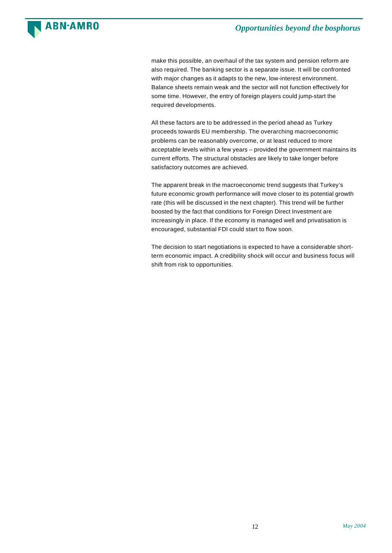

make this possible, an overhaul of the tax system and pension reform are also required. The banking sector is a separate issue. It will be confronted with major changes as it adapts to the new, low-interest environment. Balance sheets remain weak and the sector will not function effectively for some time. However, the entry of foreign players could jump-start the required developments.

All these factors are to be addressed in the period ahead as Turkey proceeds towards EU membership. The overarching macroeconomic problems can be reasonably overcome, or at least reduced to more acceptable levels within a few years – provided the government maintains its current efforts. The structural obstacles are likely to take longer before satisfactory outcomes are achieved.

The apparent break in the macroeconomic trend suggests that Turkey's future economic growth performance will move closer to its potential growth rate (this will be discussed in the next chapter). This trend will be further boosted by the fact that conditions for Foreign Direct Investment are increasingly in place. If the economy is managed well and privatisation is encouraged, substantial FDI could start to flow soon.

The decision to start negotiations is expected to have a considerable shortterm economic impact. A credibility shock will occur and business focus will shift from risk to opportunities.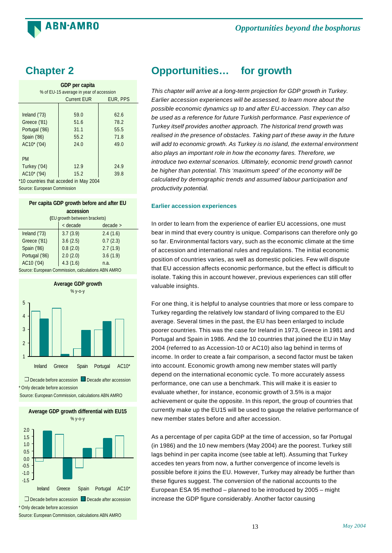

| GDP per capita<br>% of EU-15 average in year of accession |              |              |  |  |  |  |
|-----------------------------------------------------------|--------------|--------------|--|--|--|--|
| <b>Current EUR</b><br>EUR, PPS                            |              |              |  |  |  |  |
| Ireland $(73)$<br>59.0<br>62.6                            |              |              |  |  |  |  |
| Greece ('81)                                              | 51.6         | 78.2         |  |  |  |  |
| Portugal ('86)                                            | 31.1         | 55.5         |  |  |  |  |
| Spain ('86)<br>AC10* ('04)                                | 55.2<br>24.0 | 71.8<br>49.0 |  |  |  |  |
|                                                           |              |              |  |  |  |  |
| <b>PM</b>                                                 |              |              |  |  |  |  |
| Turkey ('04)<br>12.9<br>24.9                              |              |              |  |  |  |  |
| AC10* ('94)<br>15.2<br>39.8                               |              |              |  |  |  |  |
| *10 countries that acceded in May 2004                    |              |              |  |  |  |  |

Source: European Commission

| Per capita GDP growth before and after EU         |          |          |  |  |  |
|---------------------------------------------------|----------|----------|--|--|--|
| accession                                         |          |          |  |  |  |
| (EU growth between brackets)                      |          |          |  |  |  |
| < decade<br>decade >                              |          |          |  |  |  |
| Ireland ('73)                                     | 3.7(3.9) | 2.4(1.6) |  |  |  |
| Greece ('81)                                      | 3.6(2.5) | 0.7(2.3) |  |  |  |
| 0.8(2.0)<br>2.7(1.9)<br>Spain ('86)               |          |          |  |  |  |
| 2.0(2.0)<br>Portugal ('86)<br>3.6(1.9)            |          |          |  |  |  |
| AC10 ('04)<br>4.3(1.6)<br>n.a.                    |          |          |  |  |  |
| aurea: European Commission, solauletiano ADN AMDO |          |          |  |  |  |

Source: European Commission, calculations ABN AMRC



Source: European Commission, calculations ABN AMRO



Source: European Commission, calculations ABN AMRO

# **Chapter 2 Opportunities… for growth**

*This chapter will arrive at a long-term projection for GDP growth in Turkey. Earlier accession experiences will be assessed, to learn more about the possible economic dynamics up to and after EU-accession. They can also be used as a reference for future Turkish performance. Past experience of Turkey itself provides another approach. The historical trend growth was realised in the presence of obstacles. Taking part of these away in the future will add to economic growth. As Turkey is no island, the external environment also plays an important role in how the economy fares. Therefore, we introduce two external scenarios. Ultimately, economic trend growth cannot be higher than potential. This 'maximum speed' of the economy will be calculated by demographic trends and assumed labour participation and productivity potential.*

### **Earlier accession experiences**

In order to learn from the experience of earlier EU accessions, one must bear in mind that every country is unique. Comparisons can therefore only go so far. Environmental factors vary, such as the economic climate at the time of accession and international rules and regulations. The initial economic position of countries varies, as well as domestic policies. Few will dispute that EU accession affects economic performance, but the effect is difficult to isolate. Taking this in account however, previous experiences can still offer valuable insights.

For one thing, it is helpful to analyse countries that more or less compare to Turkey regarding the relatively low standard of living compared to the EU average. Several times in the past, the EU has been enlarged to include poorer countries. This was the case for Ireland in 1973, Greece in 1981 and Portugal and Spain in 1986. And the 10 countries that joined the EU in May 2004 (referred to as Accession-10 or AC10) also lag behind in terms of income. In order to create a fair comparison, a second factor must be taken into account. Economic growth among new member states will partly depend on the international economic cycle. To more accurately assess performance, one can use a benchmark. This will make it is easier to evaluate whether, for instance, economic growth of 3.5% is a major achievement or quite the opposite. In this report, the group of countries that currently make up the EU15 will be used to gauge the relative performance of new member states before and after accession.

As a percentage of per capita GDP at the time of accession, so far Portugal (in 1986) and the 10 new members (May 2004) are the poorest. Turkey still lags behind in per capita income (see table at left). Assuming that Turkey accedes ten years from now, a further convergence of income levels is possible before it joins the EU. However, Turkey may already be further than these figures suggest. The conversion of the national accounts to the European ESA 95 method – planned to be introduced by 2005 – might increase the GDP figure considerably. Another factor causing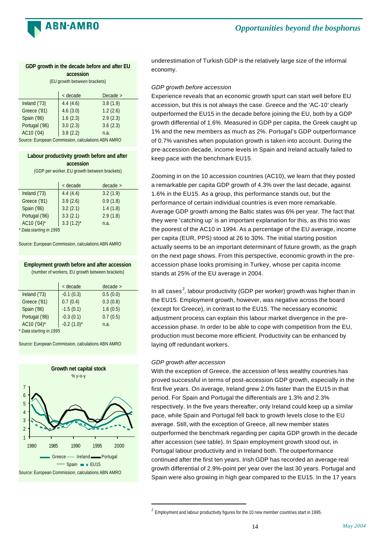

### **GDP growth in the decade before and after EU accession**

(EU growth between brackets)

|                                                    |  | < decade |      | Decade   |  |
|----------------------------------------------------|--|----------|------|----------|--|
| Ireland ('73)                                      |  | 4.4(4.6) |      | 3.8(1.9) |  |
| Greece ('81)                                       |  | 4.6(3.0) |      | 1.2(2.6) |  |
| Spain ('86)                                        |  | 1.6(2.3) |      | 2.9(2.3) |  |
| Portugal ('86)                                     |  | 3.0(2.3) |      | 3.6(2.3) |  |
| AC10 ('04)                                         |  | 3.8(2.2) | n.a. |          |  |
| Source: European Commission, calculations ABN AMRO |  |          |      |          |  |

### **Labour productivity growth before and after accession**

(GDP per worker,EU growth between brackets) < decade decade > Ireland ('73) 4.4 (4.4) 3.2 (1.9) Greece ('81) 3.9 (2.6) 0.9 (1.8) Spain ('86) 3.2 (2.1) 1.4 (1.8) Portugal ('86) 3.3 (2.1) 2.9 (1.8) AC10 ('04)\*  $3.3$  (1.2)\* n.a.

*\* Data starting in 1995*

Source: European Commission, calculations ABN AMRO

### **Employment growth before and after accession** (number of workers, EU growth between brackets)

|                           | < decade         | $decade$ > |
|---------------------------|------------------|------------|
| Ireland ('73)             | $-0.1(0.3)$      | 0.5(0.0)   |
| Greece ('81)              | 0.7(0.4)         | 0.3(0.8)   |
| Spain ('86)               | $-1.5(0.1)$      | 1.6(0.5)   |
| Portugal ('86)            | $-0.3(0.1)$      | 0.7(0.5)   |
| AC10 ('04)*               | $-0.2$ $(1.0)^*$ | n.a.       |
| $*$ Data ctarting in 1005 |                  |            |

*\* Data starting in 1995*

Source: European Commission, calculations ABN AMRO



underestimation of Turkish GDP is the relatively large size of the informal economy.

### *GDP growth before accession*

Experience reveals that an economic growth spurt can start well before EU accession, but this is not always the case. Greece and the 'AC-10' clearly outperformed the EU15 in the decade before joining the EU, both by a GDP growth differential of 1.6%. Measured in GDP per capita, the Greek caught up 1% and the new members as much as 2%. Portugal's GDP outperformance of 0.7% vanishes when population growth is taken into account. During the pre-accession decade, income levels in Spain and Ireland actually failed to keep pace with the benchmark EU15.

Zooming in on the 10 accession countries (AC10), we learn that they posted a remarkable per capita GDP growth of 4.3% over the last decade, against 1.6% in the EU15. As a group, this performance stands out, but the performance of certain individual countries is even more remarkable. Average GDP growth among the Baltic states was 6% per year. The fact that they were 'catching up' is an important explanation for this, as this trio was the poorest of the AC10 in 1994. As a percentage of the EU average, income per capita (EUR, PPS) stood at 26 to 30%. The initial starting position actually seems to be an important determinant of future growth, as the graph on the next page shows. From this perspective, economic growth in the preaccession phase looks promising in Turkey, whose per capita income stands at 25% of the EU average in 2004.

In all cases $^2$ , labour productivity (GDP per worker) growth was higher than in the EU15. Employment growth, however, was negative across the board (except for Greece), in contrast to the EU15. The necessary economic adjustment process can explain this labour market divergence in the preaccession phase. In order to be able to cope with competition from the EU, production must become more efficient. Productivity can be enhanced by laying off redundant workers.

### *GDP growth after accession*

l

With the exception of Greece, the accession of less wealthy countries has proved successful in terms of post-accession GDP growth, especially in the first five years. On average, Ireland grew 2.0% faster than the EU15 in that period. For Spain and Portugal the differentials are 1.3% and 2.3% respectively. In the five years thereafter, only Ireland could keep up a similar pace, while Spain and Portugal fell back to growth levels close to the EU average. Still, with the exception of Greece, all new member states outperformed the benchmark regarding per capita GDP growth in the decade after accession (see table). In Spain employment growth stood out, in Portugal labour productivity and in Ireland both. The outperformance continued after the first ten years. Irish GDP has recorded an average real growth differential of 2.9%-point per year over the last 30 years. Portugal and Spain were also growing in high gear compared to the EU15. In the 17 years

 $^2$  Employment and labour productivity figures for the 10 new member countries start in 1995.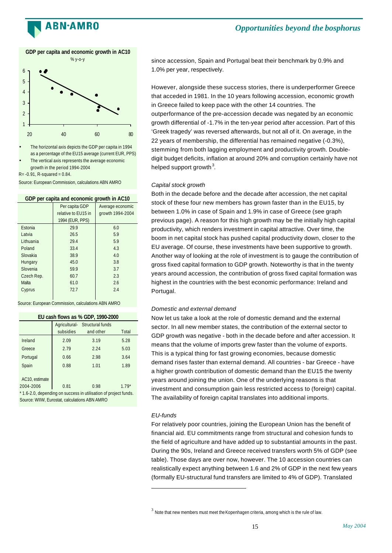![](_page_15_Picture_0.jpeg)

![](_page_15_Figure_2.jpeg)

The horizontal axis depicts the GDP per capita in 1994 as a percentage of the EU15 average (current EUR, PPS)

The vertical axis represents the average economic growth in the period 1994-2004

 $R = -0.91$ , R-squared =  $0.84$ .

Source: European Commission, calculations ABN AMRO

| GDP per capita and economic growth in AC10 |                     |                  |  |  |
|--------------------------------------------|---------------------|------------------|--|--|
|                                            | Per capita GDP      | Average economic |  |  |
|                                            | relative to EU15 in | growth 1994-2004 |  |  |
|                                            | 1994 (EUR, PPS)     |                  |  |  |
| Estonia                                    | 29.9                | 6.0              |  |  |
| I atvia                                    | 26.5                | 5.9              |  |  |
| I ithuania                                 | 29.4                | 5.9              |  |  |
| Poland                                     | 33.4                | 4.3              |  |  |
| Slovakia                                   | 38.9                | 4.0              |  |  |
| Hungary                                    | 45.0                | 3.8              |  |  |
| Slovenia                                   | 59.9                | 3.7              |  |  |
| Czech Rep.                                 | 60.7                | 2.3              |  |  |
| Malta                                      | 61.0                | 2.6              |  |  |
| Cyprus                                     | 72.7                | 2.4              |  |  |
|                                            |                     |                  |  |  |

Source: European Commission, calculations ABN AMRO

|  |  |  |  |  |  | EU cash flows as % GDP, 1990-2000 |
|--|--|--|--|--|--|-----------------------------------|
|--|--|--|--|--|--|-----------------------------------|

|                                                                 | Agricultural-<br>subsidies | Structural funds<br>and other | Total  |  |  |  |  |
|-----------------------------------------------------------------|----------------------------|-------------------------------|--------|--|--|--|--|
| Ireland                                                         | 2.09                       | 3.19                          | 5.28   |  |  |  |  |
| Greece                                                          | 2.79                       | 2.24                          | 5.03   |  |  |  |  |
| Portugal                                                        | 0.66                       | 2.98                          | 3.64   |  |  |  |  |
| Spain                                                           | 0.88                       | 1.01                          | 1.89   |  |  |  |  |
| AC10, estimate                                                  |                            |                               |        |  |  |  |  |
| 2004-2006                                                       | 0.81                       | 0.98                          | $179*$ |  |  |  |  |
| *1.6-2.0, depending on success in utilisation of project funds. |                            |                               |        |  |  |  |  |

Source: WIIW, Eurostat, calculations ABN AMRO

since accession, Spain and Portugal beat their benchmark by 0.9% and 1.0% per year, respectively.

However, alongside these success stories, there is underperformer Greece that acceded in 1981. In the 10 years following accession, economic growth in Greece failed to keep pace with the other 14 countries. The outperformance of the pre-accession decade was negated by an economic growth differential of -1.7% in the ten-year period after accession. Part of this 'Greek tragedy' was reversed afterwards, but not all of it. On average, in the 22 years of membership, the differential has remained negative (-0.3%), stemming from both lagging employment and productivity growth. Doubledigit budget deficits, inflation at around 20% and corruption certainly have not helped support growth $^3$ .

### *Capital stock growth*

Both in the decade before and the decade after accession, the net capital stock of these four new members has grown faster than in the EU15, by between 1.0% in case of Spain and 1.9% in case of Greece (see graph previous page). A reason for this high growth may be the initially high capital productivity, which renders investment in capital attractive. Over time, the boom in net capital stock has pushed capital productivity down, closer to the EU average. Of course, these investments have been supportive to growth. Another way of looking at the role of investment is to gauge the contribution of gross fixed capital formation to GDP growth. Noteworthy is that in the twenty years around accession, the contribution of gross fixed capital formation was highest in the countries with the best economic performance: Ireland and Portugal.

### *Domestic and external demand*

Now let us take a look at the role of domestic demand and the external sector. In all new member states, the contribution of the external sector to GDP growth was negative - both in the decade before and after accession. It means that the volume of imports grew faster than the volume of exports. This is a typical thing for fast growing economies, because domestic demand rises faster than external demand. All countries - bar Greece - have a higher growth contribution of domestic demand than the EU15 the twenty years around joining the union. One of the underlying reasons is that investment and consumption gain less restricted access to (foreign) capital. The availability of foreign capital translates into additional imports.

### *EU-funds*

l

For relatively poor countries, joining the European Union has the benefit of financial aid. EU commitments range from structural and cohesion funds to the field of agriculture and have added up to substantial amounts in the past. During the 90s, Ireland and Greece received transfers worth 5% of GDP (see table). Those days are over now, however. The 10 accession countries can realistically expect anything between 1.6 and 2% of GDP in the next few years (formally EU-structural fund transfers are limited to 4% of GDP). Translated

 $^3$  Note that new members must meet the Kopenhagen criteria, among which is the rule of law.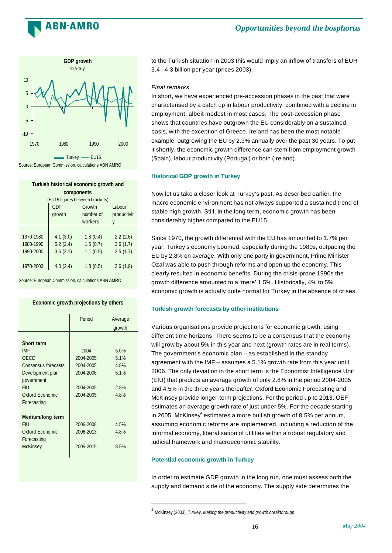![](_page_16_Picture_0.jpeg)

![](_page_16_Figure_2.jpeg)

**Turkish historical economic growth and components**

|           | (EU15 figures between brackets) |           |             |  |  |
|-----------|---------------------------------|-----------|-------------|--|--|
|           | <b>GDP</b>                      | Growth    | Labour      |  |  |
|           | growth                          | number of | productivit |  |  |
|           |                                 | workers   |             |  |  |
|           |                                 |           |             |  |  |
| 1970-1980 | 4.1(3.0)                        | 1.8(0.4)  | 2.2(2.6)    |  |  |
| 1980-1990 | 5.2(2.4)                        | 1.5(0.7)  | 3.6(1.7)    |  |  |
| 1990-2000 | 3.6(2.1)                        | 1.1(0.5)  | 2.5(1.7)    |  |  |
|           |                                 |           |             |  |  |
| 1970-2003 | 4.0(2.4)                        | 1.3(0.5)  | 2.6(1.9)    |  |  |

Source: European Commission, calculations ABN AMRO

### **Economic growth projections by others**

|                                                                                                                                                  | Period                                                                | Average<br>growth                            |
|--------------------------------------------------------------------------------------------------------------------------------------------------|-----------------------------------------------------------------------|----------------------------------------------|
| <b>Short term</b><br><b>IMF</b><br>OECD<br>Consensus forecasts<br>Development plan<br>government<br><b>FIU</b><br>Oxford Economic<br>Forecasting | 2004<br>2004-2005<br>2004-2005<br>2004-2006<br>2004-2005<br>2004-2005 | 5.0%<br>5.1%<br>4.8%<br>5.1%<br>2.8%<br>4.8% |
| Medium/long term<br><b>FIU</b><br>Oxford Economic<br>Forecasting<br><b>McKinsey</b>                                                              | 2006-2008<br>2006-2013<br>2005-2015                                   | 4.5%<br>4.8%<br>8.5%                         |

to the Turkish situation in 2003 this would imply an inflow of transfers of EUR 3.4 –4.3 billion per year (prices 2003).

### *Final remarks*

In short, we have experienced pre-accession phases in the past that were characterised by a catch up in labour productivity, combined with a decline in employment, albeit modest in most cases. The post-accession phase shows that countries have outgrown the EU considerably on a sustained basis, with the exception of Greece. Ireland has been the most notable example, outgrowing the EU by 2.9% annually over the past 30 years. To put it shortly, the economic growth difference can stem from employment growth (Spain), labour productivity (Portugal) or both (Ireland).

### **Historical GDP growth in Turkey**

Now let us take a closer look at Turkey's past. As described earlier, the macro economic environment has not always supported a sustained trend of stable high growth. Still, in the long term, economic growth has been considerably higher compared to the EU15.

Since 1970, the growth differential with the EU has amounted to 1.7% per year. Turkey's economy boomed, especially during the 1980s, outpacing the EU by 2.8% on average. With only one party in government, Prime Minister Özal was able to push through reforms and open up the economy. This clearly resulted in economic benefits. During the crisis-prone 1990s the growth difference amounted to a 'mere' 1.5%. Historically, 4% to 5% economic growth is actually quite normal for Turkey in the absence of crises.

### **Turkish growth forecasts by other institutions**

Various organisations provide projections for economic growth, using different time horizons. There seems to be a consensus that the economy will grow by about 5% in this year and next (growth rates are in real terms). The government's economic plan – as established in the standby agreement with the IMF – assumes a 5.1% growth rate from this year until 2006. The only deviation in the short term is the Economist Intelligence Unit (EIU) that predicts an average growth of only 2.8% in the period 2004-2005 and 4.5% in the three years thereafter. Oxford Economic Forecasting and McKinsey provide longer-term projections. For the period up to 2013, OEF estimates an average growth rate of just under 5%. For the decade starting in 2005, McKinsey $^4$  estimates a more bullish growth of 8.5% per annum, assuming economic reforms are implemented, including a reduction of the informal economy, liberalisation of utilities within a robust regulatory and judicial framework and macroeconomic stability.

### **Potential economic growth in Turkey**

l

In order to estimate GDP growth in the long run, one must assess both the supply and demand side of the economy. The supply side determines the

<sup>4</sup> McKinsey (2003), *Turkey, Making the productivity and growth breakthrough*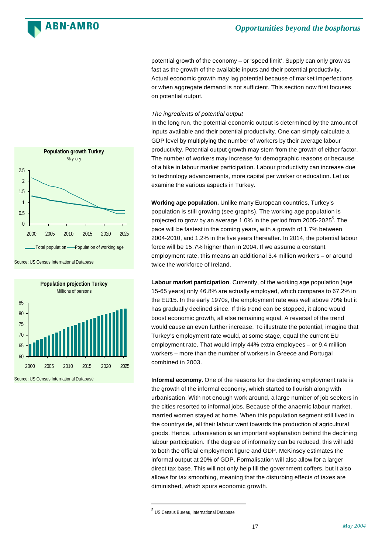![](_page_17_Picture_0.jpeg)

potential growth of the economy – or 'speed limit'. Supply can only grow as fast as the growth of the available inputs and their potential productivity. Actual economic growth may lag potential because of market imperfections or when aggregate demand is not sufficient. This section now first focuses on potential output.

### *The ingredients of potential output*

In the long run, the potential economic output is determined by the amount of inputs available and their potential productivity. One can simply calculate a GDP level by multiplying the number of workers by their average labour productivity. Potential output growth may stem from the growth of either factor. The number of workers may increase for demographic reasons or because of a hike in labour market participation. Labour productivity can increase due to technology advancements, more capital per worker or education. Let us examine the various aspects in Turkey.

**Working age population.** Unlike many European countries, Turkey's population is still growing (see graphs). The working age population is projected to grow by an average 1.0% in the period from 2005-2025 $^5$ . The pace will be fastest in the coming years, with a growth of 1.7% between 2004-2010, and 1.2% in the five years thereafter. In 2014, the potential labour force will be 15.7% higher than in 2004. If we assume a constant employment rate, this means an additional 3.4 million workers – or around twice the workforce of Ireland.

**Labour market participation**. Currently, of the working age population (age 15-65 years) only 46.8% are actually employed, which compares to 67.2% in the EU15. In the early 1970s, the employment rate was well above 70% but it has gradually declined since. If this trend can be stopped, it alone would boost economic growth, all else remaining equal. A reversal of the trend would cause an even further increase. To illustrate the potential, imagine that Turkey's employment rate would, at some stage, equal the current EU employment rate. That would imply 44% extra employees – or 9.4 million workers – more than the number of workers in Greece and Portugal combined in 2003.

**Informal economy.** One of the reasons for the declining employment rate is the growth of the informal economy, which started to flourish along with urbanisation. With not enough work around, a large number of job seekers in the cities resorted to informal jobs. Because of the anaemic labour market, married women stayed at home. When this population segment still lived in the countryside, all their labour went towards the production of agricultural goods. Hence, urbanisation is an important explanation behind the declining labour participation. If the degree of informality can be reduced, this will add to both the official employment figure and GDP. McKinsey estimates the informal output at 20% of GDP. Formalisation will also allow for a larger direct tax base. This will not only help fill the government coffers, but it also allows for tax smoothing, meaning that the disturbing effects of taxes are diminished, which spurs economic growth.

l

 $\Omega$ 2000 2005 2010 2015 2020 2025

Total population ——Population of working age

**Population growth Turkey** % y-o-y

Source: US Census International Database

0.5 1 1.5 2 2.5

 $\overline{\phantom{a}}$ 

![](_page_17_Figure_11.jpeg)

Source: US Census International Database

<sup>5</sup> US Census Bureau, International Database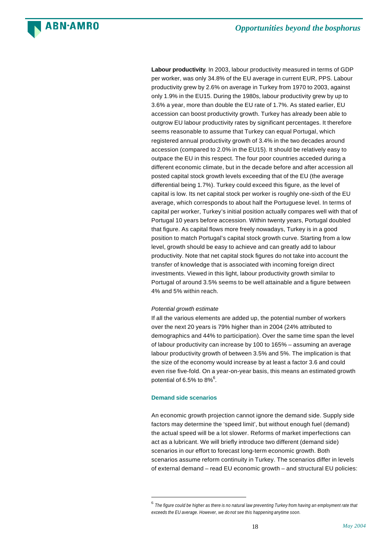![](_page_18_Picture_0.jpeg)

**Labour productivity**. In 2003, labour productivity measured in terms of GDP per worker, was only 34.8% of the EU average in current EUR, PPS. Labour productivity grew by 2.6% on average in Turkey from 1970 to 2003, against only 1.9% in the EU15. During the 1980s, labour productivity grew by up to 3.6% a year, more than double the EU rate of 1.7%. As stated earlier, EU accession can boost productivity growth. Turkey has already been able to outgrow EU labour productivity rates by significant percentages. It therefore seems reasonable to assume that Turkey can equal Portugal, which registered annual productivity growth of 3.4% in the two decades around accession (compared to 2.0% in the EU15). It should be relatively easy to outpace the EU in this respect. The four poor countries acceded during a different economic climate, but in the decade before and after accession all posted capital stock growth levels exceeding that of the EU (the average differential being 1.7%). Turkey could exceed this figure, as the level of capital is low. Its net capital stock per worker is roughly one-sixth of the EU average, which corresponds to about half the Portuguese level. In terms of capital per worker, Turkey's initial position actually compares well with that of Portugal 10 years before accession. Within twenty years, Portugal doubled that figure. As capital flows more freely nowadays, Turkey is in a good position to match Portugal's capital stock growth curve. Starting from a low level, growth should be easy to achieve and can greatly add to labour productivity. Note that net capital stock figures do not take into account the transfer of knowledge that is associated with incoming foreign direct investments. Viewed in this light, labour productivity growth similar to Portugal of around 3.5% seems to be well attainable and a figure between 4% and 5% within reach.

### *Potential growth estimate*

**ARN-AMRO** 

If all the various elements are added up, the potential number of workers over the next 20 years is 79% higher than in 2004 (24% attributed to demographics and 44% to participation). Over the same time span the level of labour productivity can increase by 100 to 165% – assuming an average labour productivity growth of between 3.5% and 5%. The implication is that the size of the economy would increase by at least a factor 3.6 and could even rise five-fold. On a year-on-year basis, this means an estimated growth potential of 6.5% to 8% $^6$ .

### **Demand side scenarios**

l

An economic growth projection cannot ignore the demand side. Supply side factors may determine the 'speed limit', but without enough fuel (demand) the actual speed will be a lot slower. Reforms of market imperfections can act as a lubricant. We will briefly introduce two different (demand side) scenarios in our effort to forecast long-term economic growth. Both scenarios assume reform continuity in Turkey. The scenarios differ in levels of external demand – read EU economic growth – and structural EU policies:

<sup>6</sup> *The figure could be higher as there is no natural law preventing Turkey from having an employment rate that exceeds the EU average. However, we do not see this happening anytime soon.*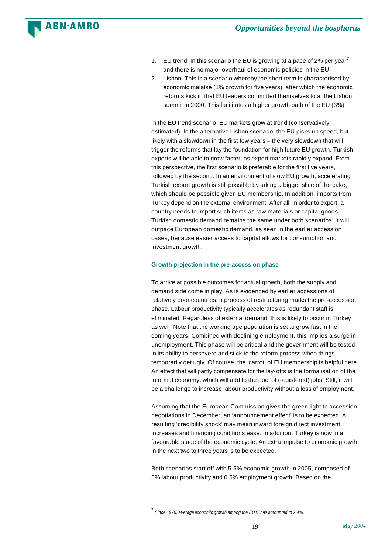![](_page_19_Picture_0.jpeg)

- 1. EU trend. In this scenario the EU is growing at a pace of 2% per year<sup>7</sup> and there is no major overhaul of economic policies in the EU.
- 2. Lisbon. This is a scenario whereby the short term is characterised by economic malaise (1% growth for five years), after which the economic reforms kick in that EU leaders committed themselves to at the Lisbon summit in 2000. This facilitates a higher growth path of the EU (3%).

In the EU trend scenario, EU markets grow at trend (conservatively estimated). In the alternative Lisbon scenario, the EU picks up speed, but likely with a slowdown in the first few years – the very slowdown that will trigger the reforms that lay the foundation for high future EU growth. Turkish exports will be able to grow faster, as export markets rapidly expand. From this perspective, the first scenario is preferable for the first five years, followed by the second. In an environment of slow EU growth, accelerating Turkish export growth is still possible by taking a bigger slice of the cake, which should be possible given EU membership. In addition, imports from Turkey depend on the external environment. After all, in order to export, a country needs to import such items as raw materials or capital goods. Turkish domestic demand remains the same under both scenarios. It will outpace European domestic demand, as seen in the earlier accession cases, because easier access to capital allows for consumption and investment growth.

### **Growth projection in the pre-accession phase**

To arrive at possible outcomes for actual growth, both the supply and demand side come in play. As is evidenced by earlier accessions of relatively poor countries, a process of restructuring marks the pre-accession phase. Labour productivity typically accelerates as redundant staff is eliminated. Regardless of external demand, this is likely to occur in Turkey as well. Note that the working age population is set to grow fast in the coming years. Combined with declining employment, this implies a surge in unemployment. This phase will be critical and the government will be tested in its ability to persevere and stick to the reform process when things temporarily get ugly. Of course, the 'carrot' of EU membership is helpful here. An effect that will partly compensate for the lay-offs is the formalisation of the informal economy, which will add to the pool of (registered) jobs. Still, it will be a challenge to increase labour productivity without a loss of employment.

Assuming that the European Commission gives the green light to accession negotiations in December, an 'announcement effect' is to be expected. A resulting 'credibility shock' may mean inward foreign direct investment increases and financing conditions ease. In addition, Turkey is now in a favourable stage of the economic cycle. An extra impulse to economic growth in the next two to three years is to be expected.

Both scenarios start off with 5.5% economic growth in 2005, composed of 5% labour productivity and 0.5% employment growth. Based on the

l

<sup>7</sup> *Since 1970, average economic growth among the EU15 has amounted to 2.4%.*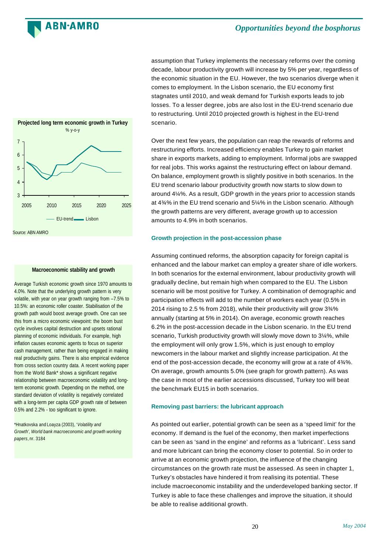![](_page_20_Picture_0.jpeg)

![](_page_20_Figure_2.jpeg)

Source: ABN AMRO

### **Macroeconomic stability and growth**

Average Turkish economic growth since 1970 amounts to 4.0%. Note that the underlying growth pattern is very volatile, with year on year growth ranging from –7.5% to 10.5%: an economic roller coaster. Stabilisation of the growth path would boost average growth. One can see this from a micro economic viewpoint: the boom bust cycle involves capital destruction and upsets rational planning of economic individuals. For example, high inflation causes economic agents to focus on superior cash management, rather than being engaged in making real productivity gains. There is also empirical evidence from cross section country data. A recent working paper from the World Bank\* shows a significant negative relationship between macroeconomic volatility and longterm economic growth. Depending on the method, one standard deviation of volatility is negatively correlated with a long-term per capita GDP growth rate of between 0.5% and 2.2% - too significant to ignore.

\*Hnatkovska and Loayza (2003), '*Volatility and Growth', World bank macroeconomic and growth working papers*, nr. 3184

assumption that Turkey implements the necessary reforms over the coming decade, labour productivity growth will increase by 5% per year, regardless of the economic situation in the EU. However, the two scenarios diverge when it comes to employment. In the Lisbon scenario, the EU economy first stagnates until 2010, and weak demand for Turkish exports leads to job losses. To a lesser degree, jobs are also lost in the EU-trend scenario due to restructuring. Until 2010 projected growth is highest in the EU-trend scenario.

Over the next few years, the population can reap the rewards of reforms and restructuring efforts. Increased efficiency enables Turkey to gain market share in exports markets, adding to employment. Informal jobs are swapped for real jobs. This works against the restructuring effect on labour demand. On balance, employment growth is slightly positive in both scenarios. In the EU trend scenario labour productivity growth now starts to slow down to around 4¼%. As a result, GDP growth in the years prior to accession stands at 4¾% in the EU trend scenario and 5¼% in the Lisbon scenario. Although the growth patterns are very different, average growth up to accession amounts to 4.9% in both scenarios.

### **Growth projection in the post-accession phase**

Assuming continued reforms, the absorption capacity for foreign capital is enhanced and the labour market can employ a greater share of idle workers. In both scenarios for the external environment, labour productivity growth will gradually decline, but remain high when compared to the EU. The Lisbon scenario will be most positive for Turkey. A combination of demographic and participation effects will add to the number of workers each year (0.5% in 2014 rising to 2.5 % from 2018), while their productivity will grow 3¾% annually (starting at 5% in 2014). On average, economic growth reaches 6.2% in the post-accession decade in the Lisbon scenario. In the EU trend scenario, Turkish productivity growth will slowly move down to 3¼%, while the employment will only grow 1.5%, which is just enough to employ newcomers in the labour market and slightly increase participation. At the end of the post-accession decade, the economy will grow at a rate of 4¾%. On average, growth amounts 5.0% (see graph for growth pattern). As was the case in most of the earlier accessions discussed, Turkey too will beat the benchmark EU15 in both scenarios.

### **Removing past barriers: the lubricant approach**

As pointed out earlier, potential growth can be seen as a 'speed limit' for the economy. If demand is the fuel of the economy, then market imperfections can be seen as 'sand in the engine' and reforms as a 'lubricant'. Less sand and more lubricant can bring the economy closer to potential. So in order to arrive at an economic growth projection, the influence of the changing circumstances on the growth rate must be assessed. As seen in chapter 1, Turkey's obstacles have hindered it from realising its potential. These include macroeconomic instability and the underdeveloped banking sector. If Turkey is able to face these challenges and improve the situation, it should be able to realise additional growth.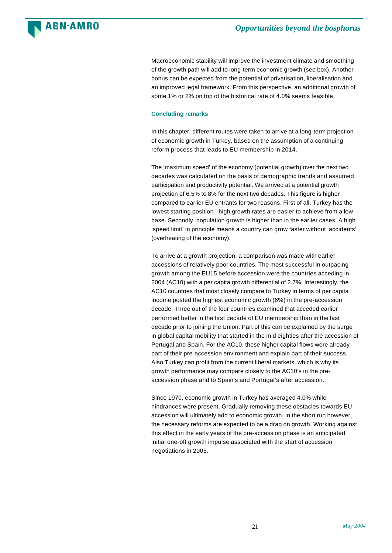![](_page_21_Picture_0.jpeg)

Macroeconomic stability will improve the investment climate and smoothing of the growth path will add to long-term economic growth (see box). Another bonus can be expected from the potential of privatisation, liberalisation and an improved legal framework. From this perspective, an additional growth of some 1% or 2% on top of the historical rate of 4.0% seems feasible.

### **Concluding remarks**

In this chapter, different routes were taken to arrive at a long-term projection of economic growth in Turkey, based on the assumption of a continuing reform process that leads to EU membership in 2014.

The 'maximum speed' of the economy (potential growth) over the next two decades was calculated on the basis of demographic trends and assumed participation and productivity potential. We arrived at a potential growth projection of 6.5% to 8% for the next two decades. This figure is higher compared to earlier EU entrants for two reasons. First of all, Turkey has the lowest starting position - high growth rates are easier to achieve from a low base. Secondly, population growth is higher than in the earlier cases. A high 'speed limit' in principle means a country can grow faster without 'accidents' (overheating of the economy).

To arrive at a growth projection, a comparison was made with earlier accessions of relatively poor countries. The most successful in outpacing growth among the EU15 before accession were the countries acceding in 2004 (AC10) with a per capita growth differential of 2.7%. Interestingly, the AC10 countries that most closely compare to Turkey in terms of per capita income posted the highest economic growth (6%) in the pre-accession decade. Three out of the four countries examined that acceded earlier performed better in the first decade of EU membership than in the last decade prior to joining the Union. Part of this can be explained by the surge in global capital mobility that started in the mid eighties after the accession of Portugal and Spain. For the AC10, these higher capital flows were already part of their pre-accession environment and explain part of their success. Also Turkey can profit from the current liberal markets, which is why its growth performance may compare closely to the AC10's in the preaccession phase and to Spain's and Portugal's after accession.

Since 1970, economic growth in Turkey has averaged 4.0% while hindrances were present. Gradually removing these obstacles towards EU accession will ultimately add to economic growth. In the short run however, the necessary reforms are expected to be a drag on growth. Working against this effect in the early years of the pre-accession phase is an anticipated initial one-off growth impulse associated with the start of accession negotiations in 2005.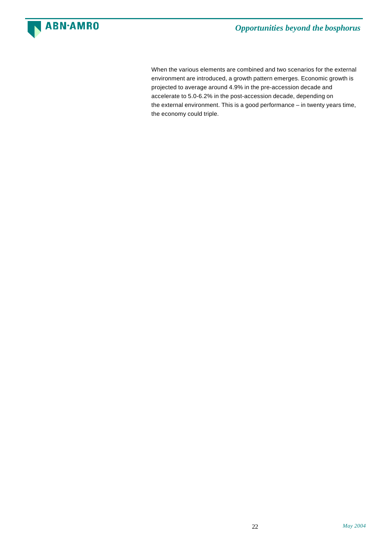![](_page_22_Picture_0.jpeg)

When the various elements are combined and two scenarios for the external environment are introduced, a growth pattern emerges. Economic growth is projected to average around 4.9% in the pre-accession decade and accelerate to 5.0-6.2% in the post-accession decade, depending on the external environment. This is a good performance – in twenty years time, the economy could triple.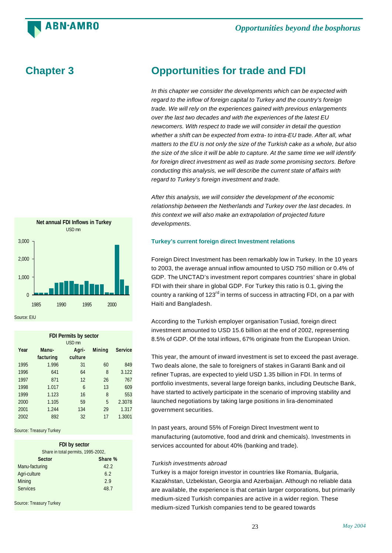**ARN-AMRO** 

![](_page_23_Figure_2.jpeg)

| <b>FDI Permits by sector</b> |                   |         |               |                |  |  |  |  |
|------------------------------|-------------------|---------|---------------|----------------|--|--|--|--|
|                              | USD <sub>mn</sub> |         |               |                |  |  |  |  |
| Year                         | Manu-             | Agri-   | <b>Mining</b> | <b>Service</b> |  |  |  |  |
|                              | facturing         | culture |               |                |  |  |  |  |
| 1995                         | 1.996             | 31      | 60            | 849            |  |  |  |  |
| 1996                         | 641               | 64      | 8             | 3.122          |  |  |  |  |
| 1997                         | 871               | 12      | 26            | 767            |  |  |  |  |
| 1998                         | 1.017             | 6       | 13            | 609            |  |  |  |  |
| 1999                         | 1.123             | 16      | 8             | 553            |  |  |  |  |
| 2000                         | 1.105             | 59      | 5             | 2.3078         |  |  |  |  |
| 2001                         | 1.244             | 134     | 29            | 1.317          |  |  |  |  |
| 2002                         | 892               | 32      | 17            | 1.3001         |  |  |  |  |

Source: Treasury Turkey

| FDI by sector                      |      |  |  |
|------------------------------------|------|--|--|
| Share in total permits, 1995-2002, |      |  |  |
| Sector<br>Share %                  |      |  |  |
| Manu-facturing                     | 42.2 |  |  |
| Agri-culture                       | 6.2  |  |  |
| Mining                             | 2.9  |  |  |
| <b>Services</b>                    | 48.7 |  |  |

Source: Treasury Turkey

# **Chapter 3 Opportunities for trade and FDI**

*In this chapter we consider the developments which can be expected with regard to the inflow of foreign capital to Turkey and the country's foreign trade. We will rely on the experiences gained with previous enlargements over the last two decades and with the experiences of the latest EU newcomers. With respect to trade we will consider in detail the question whether a shift can be expected from extra- to intra-EU trade. After all, what matters to the EU is not only the size of the Turkish cake as a whole, but also the size of the slice it will be able to capture. At the same time we will identify for foreign direct investment as well as trade some promising sectors. Before conducting this analysis, we will describe the current state of affairs with regard to Turkey's foreign investment and trade.*

*After this analysis, we will consider the development of the economic relationship between the Netherlands and Turkey over the last decades. In this context we will also make an extrapolation of projected future developments.*

### **Turkey's current foreign direct Investment relations**

Foreign Direct Investment has been remarkably low in Turkey. In the 10 years to 2003, the average annual inflow amounted to USD 750 million or 0.4% of GDP. The UNCTAD's investment report compares countries' share in global FDI with their share in global GDP. For Turkey this ratio is 0.1, giving the country a ranking of  $123<sup>rd</sup>$  in terms of success in attracting FDI, on a par with Haiti and Bangladesh.

According to the Turkish employer organisation Tusiad, foreign direct investment amounted to USD 15.6 billion at the end of 2002, representing 8.5% of GDP. Of the total inflows, 67% originate from the European Union.

This year, the amount of inward investment is set to exceed the past average. Two deals alone, the sale to foreigners of stakes in Garanti Bank and oil refiner Tupras, are expected to yield USD 1.35 billion in FDI. In terms of portfolio investments, several large foreign banks, including Deutsche Bank, have started to actively participate in the scenario of improving stability and launched negotiations by taking large positions in lira-denominated government securities.

In past years, around 55% of Foreign Direct Investment went to manufacturing (automotive, food and drink and chemicals). Investments in services accounted for about 40% (banking and trade).

### *Turkish investments abroad*

Turkey is a major foreign investor in countries like Romania, Bulgaria, Kazakhstan, Uzbekistan, Georgia and Azerbaijan. Although no reliable data are available, the experience is that certain larger corporations, but primarily medium-sized Turkish companies are active in a wider region. These medium-sized Turkish companies tend to be geared towards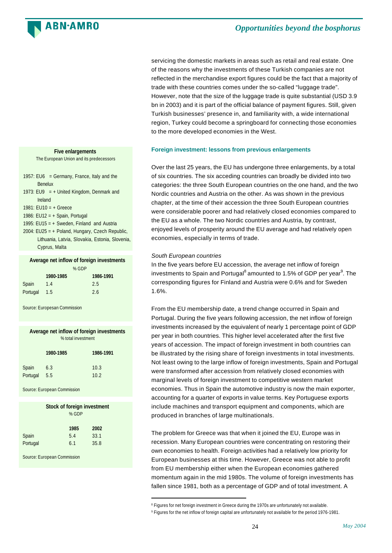### **ARN-AMRO**

servicing the domestic markets in areas such as retail and real estate. One of the reasons why the investments of these Turkish companies are not reflected in the merchandise export figures could be the fact that a majority of trade with these countries comes under the so-called "luggage trade". However, note that the size of the luggage trade is quite substantial (USD 3.9 bn in 2003) and it is part of the official balance of payment figures. Still, given Turkish businesses' presence in, and familiarity with, a wide international region, Turkey could become a springboard for connecting those economies to the more developed economies in the West.

### **Foreign investment: lessons from previous enlargements**

Over the last 25 years, the EU has undergone three enlargements, by a total of six countries. The six acceding countries can broadly be divided into two categories: the three South European countries on the one hand, and the two Nordic countries and Austria on the other. As was shown in the previous chapter, at the time of their accession the three South European countries were considerable poorer and had relatively closed economies compared to the EU as a whole. The two Nordic countries and Austria, by contrast, enjoyed levels of prosperity around the EU average and had relatively open economies, especially in terms of trade.

### *South European countries*

l

In the five years before EU accession, the average net inflow of foreign investments to Spain and Portugal $^8$  amounted to 1.5% of GDP per year $^9$ . The corresponding figures for Finland and Austria were 0.6% and for Sweden 1.6%.

From the EU membership date, a trend change occurred in Spain and Portugal. During the five years following accession, the net inflow of foreign investments increased by the equivalent of nearly 1 percentage point of GDP per year in both countries. This higher level accelerated after the first five years of accession. The impact of foreign investment in both countries can be illustrated by the rising share of foreign investments in total investments. Not least owing to the large inflow of foreign investments, Spain and Portugal were transformed after accession from relatively closed economies with marginal levels of foreign investment to competitive western market economies. Thus in Spain the automotive industry is now the main exporter, accounting for a quarter of exports in value terms. Key Portuguese exports include machines and transport equipment and components, which are produced in branches of large multinationals.

The problem for Greece was that when it joined the EU, Europe was in recession. Many European countries were concentrating on restoring their own economies to health. Foreign activities had a relatively low priority for European businesses at this time. However, Greece was not able to profit from EU membership either when the European economies gathered momentum again in the mid 1980s. The volume of foreign investments has fallen since 1981, both as a percentage of GDP and of total investment. A

**Five enlargements** The European Union and its predecessors

- 1957: EU6 = Germany, France, Italy and the Benelux
- 1973: EU9 =  $+$  United Kingdom, Denmark and Ireland
- 1981: EU10 = + Greece
- 1986: EU12 = + Spain, Portugal
- 1995: EU15 = + Sweden, Finland and Austria
- 2004: EU25 = + Poland, Hungary, Czech Republic, Lithuania, Latvia, Slovakia, Estonia, Slovenia, Cyprus, Malta

|  |  |  | Average net inflow of foreign investments |
|--|--|--|-------------------------------------------|
|--|--|--|-------------------------------------------|

|          |           | % GDP |           |
|----------|-----------|-------|-----------|
|          | 1980-1985 |       | 1986-1991 |
| Spain    | 1.4       |       | 2.5       |
| Portugal | 1.5       |       | 2.6       |

Source: Europesan Commission

### **Average net inflow of foreign investments** % total investment

|          | 1980-1985 | 1986-1991 |
|----------|-----------|-----------|
| Spain    | 6.3       | 10.3      |
| Portugal | 5.5       | 10.2      |

Source: European Commission

|                   | Stock of foreign investment<br>% GDP |                      |  |
|-------------------|--------------------------------------|----------------------|--|
| Spain<br>Portugal | 1985<br>5.4<br>6.1                   | 2002<br>33.1<br>35.8 |  |

Source: European Commission

<sup>&</sup>lt;sup>8</sup> Figures for net foreign investment in Greece during the 1970s are unfortunately not available.

<sup>9</sup> Figures for the net inflow of foreign capital are unfortunately not available for the period 1976-1981.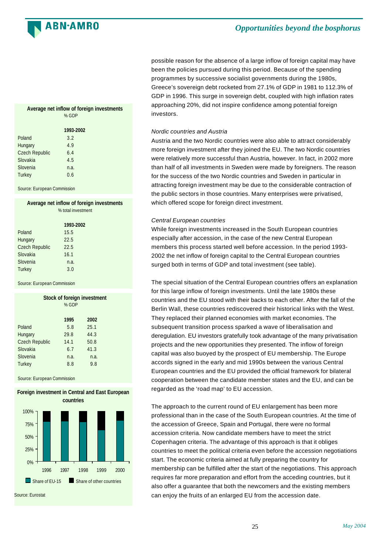![](_page_25_Picture_0.jpeg)

possible reason for the absence of a large inflow of foreign capital may have been the policies pursued during this period. Because of the spending programmes by successive socialist governments during the 1980s, Greece's sovereign debt rocketed from 27.1% of GDP in 1981 to 112.3% of GDP in 1996. This surge in sovereign debt, coupled with high inflation rates approaching 20%, did not inspire confidence among potential foreign investors.

### *Nordic countries and Austria*

Austria and the two Nordic countries were also able to attract considerably more foreign investment after they joined the EU. The two Nordic countries were relatively more successful than Austria, however. In fact, in 2002 more than half of all investments in Sweden were made by foreigners. The reason for the success of the two Nordic countries and Sweden in particular in attracting foreign investment may be due to the considerable contraction of the public sectors in those countries. Many enterprises were privatised, which offered scope for foreign direct investment.

### *Central European countries*

While foreign investments increased in the South European countries especially after accession, in the case of the new Central European members this process started well before accession. In the period 1993- 2002 the net inflow of foreign capital to the Central European countries surged both in terms of GDP and total investment (see table).

The special situation of the Central European countries offers an explanation for this large inflow of foreign investments. Until the late 1980s these countries and the EU stood with their backs to each other. After the fall of the Berlin Wall, these countries rediscovered their historical links with the West. They replaced their planned economies with market economies. The subsequent transition process sparked a wave of liberalisation and deregulation. EU investors gratefully took advantage of the many privatisation projects and the new opportunities they presented. The inflow of foreign capital was also buoyed by the prospect of EU membership. The Europe accords signed in the early and mid 1990s between the various Central European countries and the EU provided the official framework for bilateral cooperation between the candidate member states and the EU, and can be regarded as the 'road map' to EU accession.

The approach to the current round of EU enlargement has been more professional than in the case of the South European countries. At the time of the accession of Greece, Spain and Portugal, there were no formal accession criteria. Now candidate members have to meet the strict Copenhagen criteria. The advantage of this approach is that it obliges countries to meet the political criteria even before the accession negotiations start. The economic criteria aimed at fully preparing the country for membership can be fulfilled after the start of the negotiations. This approach requires far more preparation and effort from the acceding countries, but it also offer a guarantee that both the newcomers and the existing members can enjoy the fruits of an enlarged EU from the accession date.

### **Average net inflow of foreign investments** % GDP

|                       | 1993-2002 |  |
|-----------------------|-----------|--|
| Poland                | 3.2       |  |
| Hungary               | 4.9       |  |
| <b>Czech Republic</b> | 6.4       |  |
| Slovakia              | 4.5       |  |
| Slovenia              | n.a.      |  |
| Turkey                | 0.6       |  |

Source: European Commission

### **Average net inflow of foreign investments**

|                       | % total investment |  |
|-----------------------|--------------------|--|
|                       | 1993-2002          |  |
| Poland                | 15.5               |  |
| Hungary               | 22.5               |  |
| <b>Czech Republic</b> | 22.5               |  |
| Slovakia              | 16.1               |  |
| Slovenia              | n.a.               |  |
| Turkey                | 3.0                |  |
|                       |                    |  |

Source: European Commission

|                       | <b>Stock of foreign investment</b><br>% GDP |      |
|-----------------------|---------------------------------------------|------|
|                       | 1995                                        | 2002 |
| Poland                | 5.8                                         | 25.1 |
| Hungary               | 29.8                                        | 44.3 |
| <b>Czech Republic</b> | 14.1                                        | 50.8 |
| Slovakia              | 6.7                                         | 41.3 |
| Slovenia              | n.a.                                        | n.a. |
| Turkey                | 8.8                                         | 9.8  |
|                       |                                             |      |

Source: European Commission

![](_page_25_Figure_17.jpeg)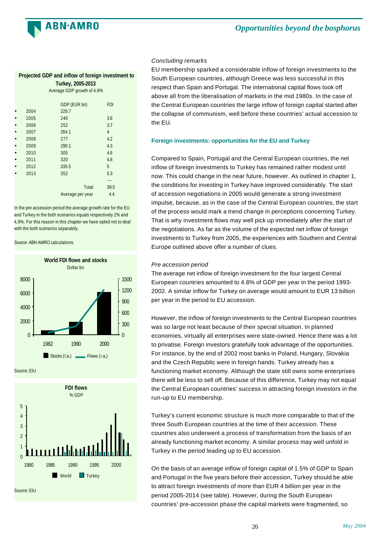![](_page_26_Picture_0.jpeg)

| Projected GDP and inflow of foreign investment to<br>Turkey, 2005-2013 |                            |                  |                |  |
|------------------------------------------------------------------------|----------------------------|------------------|----------------|--|
|                                                                        | Average GDP growth of 4.9% |                  |                |  |
|                                                                        |                            | GDP (EUR bn)     | <b>FDI</b>     |  |
|                                                                        | 2004<br>2005               | 228.7<br>240     | 3.6            |  |
|                                                                        | 2006                       | 252              | 3.7            |  |
|                                                                        | 2007                       | 264.1            | $\overline{4}$ |  |
|                                                                        | 2008                       | 277              | 4.2            |  |
|                                                                        | 2009                       | 290.1            | 4.3            |  |
|                                                                        | 2010                       | 305              | 4.6            |  |
|                                                                        | 2011                       | 320              | 4.8            |  |
|                                                                        | 2012                       | 335.5            | 5              |  |
|                                                                        | 2013                       | 352              | 5.3            |  |
|                                                                        |                            |                  | ---            |  |
|                                                                        |                            | Total            | 39.5           |  |
|                                                                        |                            | Average per year | 4.4            |  |

In the pre accession period the average growth rate for the EU and Turkey in the both scenarios equals respectively 2% and 4,9%. For this reason in this chapter we have opted not to deal with the both scenarios separately.

Source: ABN AMRO calculations

![](_page_26_Figure_5.jpeg)

![](_page_26_Figure_6.jpeg)

### *Concluding remarks*

EU membership sparked a considerable inflow of foreign investments to the South European countries, although Greece was less successful in this respect than Spain and Portugal. The international capital flows took off above all from the liberalisation of markets in the mid 1980s. In the case of the Central European countries the large inflow of foreign capital started after the collapse of communism, well before these countries' actual accession to the EU.

### **Foreign investments: opportunities for the EU and Turkey**

Compared to Spain, Portugal and the Central European countries, the net inflow of foreign investments to Turkey has remained rather modest until now. This could change in the near future, however. As outlined in chapter 1, the conditions for investing in Turkey have improved considerably. The start of accession negotiations in 2005 would generate a strong investment impulse, because, as in the case of the Central European countries, the start of the process would mark a trend change in perceptions concerning Turkey. That is why investment flows may well pick up immediately after the start of the negotiations. As far as the volume of the expected net inflow of foreign investments to Turkey from 2005, the experiences with Southern and Central Europe outlined above offer a number of clues.

### *Pre accession period*

The average net inflow of foreign investment for the four largest Central European countries amounted to 4.8% of GDP per year in the period 1993- 2002. A similar inflow for Turkey on average would amount to EUR 13 billion per year in the period to EU accession.

However, the inflow of foreign investments to the Central European countries was so large not least because of their special situation. In planned economies, virtually all enterprises were state-owned. Hence there was a lot to privatise. Foreign investors gratefully took advantage of the opportunities. For instance, by the end of 2002 most banks in Poland, Hungary, Slovakia and the Czech Republic were in foreign hands. Turkey already has a functioning market economy. Although the state still owns some enterprises there will be less to sell off. Because of this difference, Turkey may not equal the Central European countries' success in attracting foreign investors in the run-up to EU membership.

Turkey's current economic structure is much more comparable to that of the three South European countries at the time of their accession. These countries also underwent a process of transformation from the basis of an already functioning market economy. A similar process may well unfold in Turkey in the period leading up to EU accession.

On the basis of an average inflow of foreign capital of 1.5% of GDP to Spain and Portugal in the five years before their accession, Turkey should be able to attract foreign investments of more than EUR 4 billion per year in the period 2005-2014 (see table). However, during the South European countries' pre-accession phase the capital markets were fragmented, so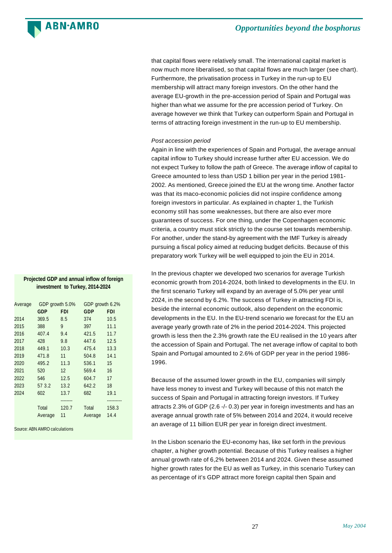**ARN-AMRO** 

that capital flows were relatively small. The international capital market is now much more liberalised, so that capital flows are much larger (see chart). Furthermore, the privatisation process in Turkey in the run-up to EU membership will attract many foreign investors. On the other hand the average EU-growth in the pre-accession period of Spain and Portugal was higher than what we assume for the pre accession period of Turkey. On average however we think that Turkey can outperform Spain and Portugal in terms of attracting foreign investment in the run-up to EU membership.

### *Post accession period*

Again in line with the experiences of Spain and Portugal, the average annual capital inflow to Turkey should increase further after EU accession. We do not expect Turkey to follow the path of Greece. The average inflow of capital to Greece amounted to less than USD 1 billion per year in the period 1981- 2002. As mentioned, Greece joined the EU at the wrong time. Another factor was that its maco-economic policies did not inspire confidence among foreign investors in particular. As explained in chapter 1, the Turkish economy still has some weaknesses, but there are also ever more guarantees of success. For one thing, under the Copenhagen economic criteria, a country must stick strictly to the course set towards membership. For another, under the stand-by agreement with the IMF Turkey is already pursuing a fiscal policy aimed at reducing budget deficits. Because of this preparatory work Turkey will be well equipped to join the EU in 2014.

In the previous chapter we developed two scenarios for average Turkish economic growth from 2014-2024, both linked to developments in the EU. In the first scenario Turkey will expand by an average of 5.0% per year until 2024, in the second by 6.2%. The success of Turkey in attracting FDI is, beside the internal economic outlook, also dependent on the economic developments in the EU. In the EU-trend scenario we forecast for the EU an average yearly growth rate of 2% in the period 2014-2024. This projected growth is less then the 2.3% growth rate the EU realised in the 10 years after the accession of Spain and Portugal. The net average inflow of capital to both Spain and Portugal amounted to 2.6% of GDP per year in the period 1986- 1996.

Because of the assumed lower growth in the EU, companies will simply have less money to invest and Turkey will because of this not match the success of Spain and Portugal in attracting foreign investors. If Turkey attracts 2.3% of GDP (2.6 -/- 0.3) per year in foreign investments and has an average annual growth rate of 5% between 2014 and 2024, it would receive an average of 11 billion EUR per year in foreign direct investment.

In the Lisbon scenario the EU-economy has, like set forth in the previous chapter, a higher growth potential. Because of this Turkey realises a higher annual growth rate of 6,2% between 2014 and 2024. Given these assumed higher growth rates for the EU as well as Turkey, in this scenario Turkey can as percentage of it's GDP attract more foreign capital then Spain and

### **Projected GDP and annual inflow of foreign investment to Turkey, 2014-2024**

| GDP growth 5.0%<br>Average |            | GDP growth 6.2% |         |            |
|----------------------------|------------|-----------------|---------|------------|
|                            | <b>GDP</b> | <b>FDI</b>      | GDP     | <b>FDI</b> |
| 2014                       | 369.5      | 8.5             | 374     | 10.5       |
| 2015                       | 388        | 9               | 397     | 11.1       |
| 2016                       | 407.4      | 9.4             | 421.5   | 11.7       |
| 2017                       | 428        | 9.8             | 447.6   | 12.5       |
| 2018                       | 449.1      | 10.3            | 475.4   | 13.3       |
| 2019                       | 471.8      | 11              | 504.8   | 14.1       |
| 2020                       | 495.2      | 11.3            | 536.1   | 15         |
| 2021                       | 520        | 12              | 569.4   | 16         |
| 2022                       | 546        | 12.5            | 604.7   | 17         |
| 2023                       | 57 3.2     | 13.2            | 642.2   | 18         |
| 2024                       | 602        | 13.7            | 682     | 19.1       |
|                            |            |                 |         |            |
|                            | Total      | 120.7           | Total   | 158.3      |
|                            | Average    | 11              | Average | 14.4       |

Source: ABN AMRO calculations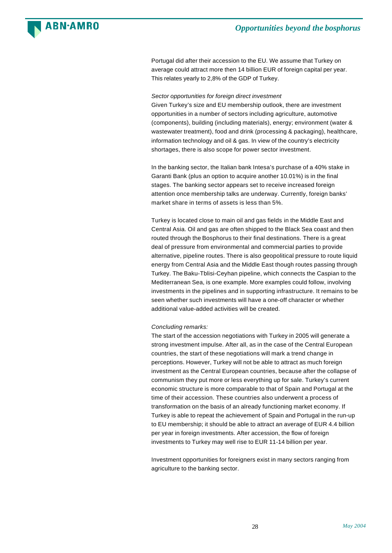![](_page_28_Picture_0.jpeg)

Portugal did after their accession to the EU. We assume that Turkey on average could attract more then 14 billion EUR of foreign capital per year. This relates yearly to 2,8% of the GDP of Turkey.

### *Sector opportunities for foreign direct investment*

Given Turkey's size and EU membership outlook, there are investment opportunities in a number of sectors including agriculture, automotive (components), building (including materials), energy; environment (water & wastewater treatment), food and drink (processing & packaging), healthcare, information technology and oil & gas. In view of the country's electricity shortages, there is also scope for power sector investment.

In the banking sector, the Italian bank Intesa's purchase of a 40% stake in Garanti Bank (plus an option to acquire another 10.01%) is in the final stages. The banking sector appears set to receive increased foreign attention once membership talks are underway. Currently, foreign banks' market share in terms of assets is less than 5%.

Turkey is located close to main oil and gas fields in the Middle East and Central Asia. Oil and gas are often shipped to the Black Sea coast and then routed through the Bosphorus to their final destinations. There is a great deal of pressure from environmental and commercial parties to provide alternative, pipeline routes. There is also geopolitical pressure to route liquid energy from Central Asia and the Middle East though routes passing through Turkey. The Baku-Tblisi-Ceyhan pipeline, which connects the Caspian to the Mediterranean Sea, is one example. More examples could follow, involving investments in the pipelines and in supporting infrastructure. It remains to be seen whether such investments will have a one-off character or whether additional value-added activities will be created.

### *Concluding remarks:*

The start of the accession negotiations with Turkey in 2005 will generate a strong investment impulse. After all, as in the case of the Central European countries, the start of these negotiations will mark a trend change in perceptions. However, Turkey will not be able to attract as much foreign investment as the Central European countries, because after the collapse of communism they put more or less everything up for sale. Turkey's current economic structure is more comparable to that of Spain and Portugal at the time of their accession. These countries also underwent a process of transformation on the basis of an already functioning market economy. If Turkey is able to repeat the achievement of Spain and Portugal in the run-up to EU membership; it should be able to attract an average of EUR 4.4 billion per year in foreign investments. After accession, the flow of foreign investments to Turkey may well rise to EUR 11-14 billion per year.

Investment opportunities for foreigners exist in many sectors ranging from agriculture to the banking sector.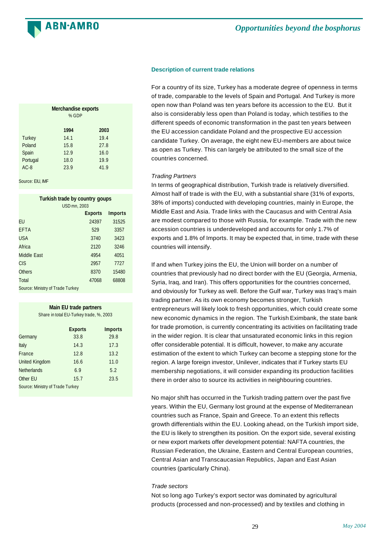![](_page_29_Picture_0.jpeg)

### **Description of current trade relations**

For a country of its size, Turkey has a moderate degree of openness in terms of trade, comparable to the levels of Spain and Portugal. And Turkey is more open now than Poland was ten years before its accession to the EU. But it also is considerably less open than Poland is today, which testifies to the different speeds of economic transformation in the past ten years between the EU accession candidate Poland and the prospective EU accession candidate Turkey. On average, the eight new EU-members are about twice as open as Turkey. This can largely be attributed to the small size of the countries concerned.

### *Trading Partners*

In terms of geographical distribution, Turkish trade is relatively diversified. Almost half of trade is with the EU, with a substantial share (31% of exports, 38% of imports) conducted with developing countries, mainly in Europe, the Middle East and Asia. Trade links with the Caucasus and with Central Asia are modest compared to those with Russia, for example. Trade with the new accession countries is underdeveloped and accounts for only 1.7% of exports and 1.8% of Imports. It may be expected that, in time, trade with these countries will intensify.

If and when Turkey joins the EU, the Union will border on a number of countries that previously had no direct border with the EU (Georgia, Armenia, Syria, Iraq, and Iran). This offers opportunities for the countries concerned, and obviously for Turkey as well. Before the Gulf war, Turkey was Iraq's main trading partner. As its own economy becomes stronger, Turkish entrepreneurs will likely look to fresh opportunities, which could create some new economic dynamics in the region. The Turkish Eximbank, the state bank for trade promotion, is currently concentrating its activities on facilitating trade in the wider region. It is clear that unsaturated economic links in this region offer considerable potential. It is difficult, however, to make any accurate estimation of the extent to which Turkey can become a stepping stone for the region. A large foreign investor, Unilever, indicates that if Turkey starts EU membership negotiations, it will consider expanding its production facilities there in order also to source its activities in neighbouring countries.

No major shift has occurred in the Turkish trading pattern over the past five years. Within the EU, Germany lost ground at the expense of Mediterranean countries such as France, Spain and Greece. To an extent this reflects growth differentials within the EU. Looking ahead, on the Turkish import side, the EU is likely to strengthen its position. On the export side, several existing or new export markets offer development potential: NAFTA countries, the Russian Federation, the Ukraine, Eastern and Central European countries, Central Asian and Transcaucasian Republics, Japan and East Asian countries (particularly China).

### *Trade sectors*

Not so long ago Turkey's export sector was dominated by agricultural products (processed and non-processed) and by textiles and clothing in

|               | <b>Merchandise exports</b><br>% GDP |      |  |
|---------------|-------------------------------------|------|--|
|               | 1994                                | 2003 |  |
| <b>Turkey</b> | 14.1                                | 19.4 |  |
| Poland        | 15.8                                | 27.8 |  |
| Spain         | 12.9                                | 16.0 |  |
| Portugal      | 18.0                                | 19.9 |  |
| $AC-8$        | 23.9                                | 41.9 |  |
|               |                                     |      |  |

Source: FIU, IMF

| Turkish trade by country goups<br><b>USD mn. 2003</b> |                |                |  |
|-------------------------------------------------------|----------------|----------------|--|
|                                                       | <b>Exports</b> | <b>Imports</b> |  |
| FU                                                    | 24397          | 31525          |  |
| EFTA                                                  | 529            | 3357           |  |
| USA                                                   | 3740           | 3423           |  |
| Africa                                                | 2120           | 3246           |  |
| Middle Fast                                           | 4954           | 4051           |  |
| CIS                                                   | 2957           | 7727           |  |
| Others                                                | 8370           | 15480          |  |
| Total                                                 | 47068          | 68808          |  |
| Source: Ministry of Trade Turkey                      |                |                |  |

| Main EU trade partners<br>Share in total EU-Turkey trade, %, 2003 |                |                |
|-------------------------------------------------------------------|----------------|----------------|
|                                                                   | <b>Exports</b> | <b>Imports</b> |
| Germany                                                           | 33.8           | 29.8           |
| Italy                                                             | 14.3           | 17.3           |
| France                                                            | 12.8           | 13.2           |
| <b>United Kingdom</b>                                             | 16.6           | 11.0           |
| <b>Netherlands</b>                                                | 6.9            | 5.2            |
| Other EU                                                          | 15.7           | 23.5           |
| Source: Ministry of Trade Turkey                                  |                |                |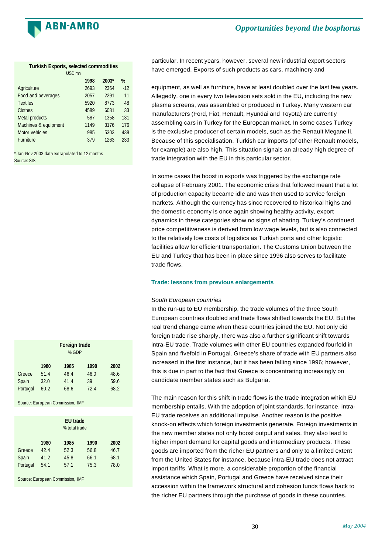![](_page_30_Picture_0.jpeg)

| <b>Turkish Exports, selected commodities</b> |      |         |       |
|----------------------------------------------|------|---------|-------|
| USD <sub>mn</sub>                            |      |         |       |
|                                              | 1998 | $2003*$ | %     |
| Agriculture                                  | 2693 | 2364    | $-12$ |
| Food and beverages                           | 2057 | 2291    | 11    |
| <b>Textiles</b>                              | 5920 | 8773    | 48    |
| Clothes                                      | 4589 | 6081    | 33    |
| Metal products                               | 587  | 1358    | 131   |
| Machines & equipment                         | 1149 | 3176    | 176   |
| Motor vehicles                               | 985  | 5303    | 438   |
| <b>Furniture</b>                             | 379  | 1263    | 233   |

\* Jan-Nov 2003 data extrapolated to 12 months Source: SIS

**Foreign trade** % GDP **1980 1985 1990 2002** Greece 51.4 46.4 46.0 48.6 Spain 32.0 41.4 39 59.6 Portugal 60.2 68.6 72.4 68.2

Source: European Commission, IMF

|                             | <b>EU</b> trade<br>% total trade |                              |                              |                              |
|-----------------------------|----------------------------------|------------------------------|------------------------------|------------------------------|
| Greece<br>Spain<br>Portugal | 1980<br>42.4<br>41.2<br>54.1     | 1985<br>52.3<br>45.8<br>57.1 | 1990<br>56.8<br>66.1<br>75.3 | 2002<br>46.7<br>68.1<br>78.0 |

Source: European Commission, IMF

particular. In recent years, however, several new industrial export sectors have emerged. Exports of such products as cars, machinery and

equipment, as well as furniture, have at least doubled over the last few years. Allegedly, one in every two television sets sold in the EU, including the new plasma screens, was assembled or produced in Turkey. Many western car manufacturers (Ford, Fiat, Renault, Hyundai and Toyota) are currently assembling cars in Turkey for the European market. In some cases Turkey is the exclusive producer of certain models, such as the Renault Megane II. Because of this specialisation, Turkish car imports (of other Renault models, for example) are also high. This situation signals an already high degree of trade integration with the EU in this particular sector.

In some cases the boost in exports was triggered by the exchange rate collapse of February 2001. The economic crisis that followed meant that a lot of production capacity became idle and was then used to service foreign markets. Although the currency has since recovered to historical highs and the domestic economy is once again showing healthy activity, export dynamics in these categories show no signs of abating. Turkey's continued price competitiveness is derived from low wage levels, but is also connected to the relatively low costs of logistics as Turkish ports and other logistic facilities allow for efficient transportation. The Customs Union between the EU and Turkey that has been in place since 1996 also serves to facilitate trade flows.

### **Trade: lessons from previous enlargements**

### *South European countries*

In the run-up to EU membership, the trade volumes of the three South European countries doubled and trade flows shifted towards the EU. But the real trend change came when these countries joined the EU. Not only did foreign trade rise sharply, there was also a further significant shift towards intra-EU trade. Trade volumes with other EU countries expanded fourfold in Spain and fivefold in Portugal. Greece's share of trade with EU partners also increased in the first instance, but it has been falling since 1996; however, this is due in part to the fact that Greece is concentrating increasingly on candidate member states such as Bulgaria.

The main reason for this shift in trade flows is the trade integration which EU membership entails. With the adoption of joint standards, for instance, intra-EU trade receives an additional impulse. Another reason is the positive knock-on effects which foreign investments generate. Foreign investments in the new member states not only boost output and sales, they also lead to higher import demand for capital goods and intermediary products. These goods are imported from the richer EU partners and only to a limited extent from the United States for instance, because intra-EU trade does not attract import tariffs. What is more, a considerable proportion of the financial assistance which Spain, Portugal and Greece have received since their accession within the framework structural and cohesion funds flows back to the richer EU partners through the purchase of goods in these countries.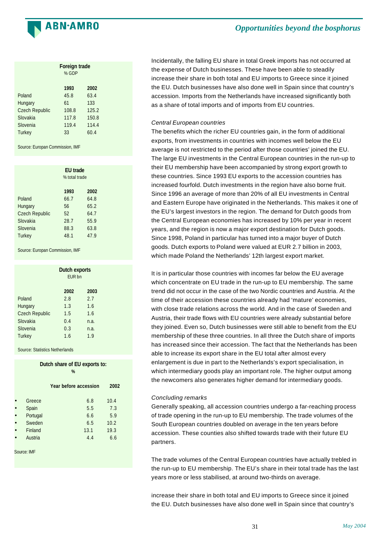![](_page_31_Picture_0.jpeg)

|                       | <b>Foreign trade</b><br>% GDP |       |  |
|-----------------------|-------------------------------|-------|--|
|                       | 1993                          | 2002  |  |
| Poland                | 45.8                          | 63.4  |  |
| Hungary               | 61                            | 133   |  |
| <b>Czech Republic</b> | 108.8                         | 125.2 |  |
| Slovakia              | 117.8                         | 150.8 |  |
| Slovenia              | 119.4                         | 114.4 |  |
| <b>Turkey</b>         | 33                            | 60.4  |  |

Source: Europan Commission, IMF

|                       | <b>EU</b> trade<br>% total trade |      |  |
|-----------------------|----------------------------------|------|--|
|                       | 1993                             | 2002 |  |
| Poland                | 66.7                             | 64.8 |  |
| Hungary               | 56                               | 65.2 |  |
| <b>Czech Republic</b> | 52                               | 64.7 |  |
| Slovakia              | 28.7                             | 55.9 |  |
| Slovenia              | 88.3                             | 63.8 |  |
| <b>Turkey</b>         | 48.1                             | 47.9 |  |

Source: Europan Commission, IMF

|                       | Dutch exports<br>FUR <sub>bn</sub> |      |
|-----------------------|------------------------------------|------|
|                       | 2002                               | 2003 |
| Poland                | 2.8                                | 2.7  |
| Hungary               | 1.3                                | 1.6  |
| <b>Czech Republic</b> | 1.5                                | 1.6  |
| Slovakia              | 0.4                                | n.a. |
| Slovenia              | 0.3                                | n.a. |
| <b>Turkey</b>         | 1.6                                | 1.9  |

Source: Statistics Netherlands

|             | Dutch share of EU exports to:<br>% |                       |     |      |
|-------------|------------------------------------|-----------------------|-----|------|
|             |                                    | Year before accession |     | 2002 |
|             | Greece                             |                       | 6.8 | 10.4 |
|             | Spain                              |                       | 5.5 | 7.3  |
|             | Portugal                           |                       | 6.6 | 5.9  |
|             | Sweden                             |                       | 6.5 | 10.2 |
|             | Finland                            | 13.1                  |     | 19.3 |
|             | Austria                            |                       | 4.4 | 6.6  |
| Source: IMF |                                    |                       |     |      |

Incidentally, the falling EU share in total Greek imports has not occurred at the expense of Dutch businesses. These have been able to steadily increase their share in both total and EU imports to Greece since it joined the EU. Dutch businesses have also done well in Spain since that country's accession. Imports from the Netherlands have increased significantly both as a share of total imports and of imports from EU countries.

### *Central European countries*

The benefits which the richer EU countries gain, in the form of additional exports, from investments in countries with incomes well below the EU average is not restricted to the period after those countries' joined the EU. The large EU investments in the Central European countries in the run-up to their EU membership have been accompanied by strong export growth to these countries. Since 1993 EU exports to the accession countries has increased fourfold. Dutch investments in the region have also borne fruit. Since 1996 an average of more than 20% of all EU investments in Central and Eastern Europe have originated in the Netherlands. This makes it one of the EU's largest investors in the region. The demand for Dutch goods from the Central European economies has increased by 10% per year in recent years, and the region is now a major export destination for Dutch goods. Since 1998, Poland in particular has turned into a major buyer of Dutch goods. Dutch exports to Poland were valued at EUR 2.7 billion in 2003, which made Poland the Netherlands' 12th largest export market.

It is in particular those countries with incomes far below the EU average which concentrate on EU trade in the run-up to EU membership. The same trend did not occur in the case of the two Nordic countries and Austria. At the time of their accession these countries already had 'mature' economies, with close trade relations across the world. And in the case of Sweden and Austria, their trade flows with EU countries were already substantial before they joined. Even so, Dutch businesses were still able to benefit from the EU membership of these three countries. In all three the Dutch share of imports has increased since their accession. The fact that the Netherlands has been able to increase its export share in the EU total after almost every enlargement is due in part to the Netherlands's export specialisation, in which intermediary goods play an important role. The higher output among the newcomers also generates higher demand for intermediary goods.

### *Concluding remarks*

Generally speaking, all accession countries undergo a far-reaching process of trade opening in the run-up to EU membership. The trade volumes of the South European countries doubled on average in the ten years before accession. These counties also shifted towards trade with their future EU partners.

The trade volumes of the Central European countries have actually trebled in the run-up to EU membership. The EU's share in their total trade has the last years more or less stabilised, at around two-thirds on average.

increase their share in both total and EU imports to Greece since it joined the EU. Dutch businesses have also done well in Spain since that country's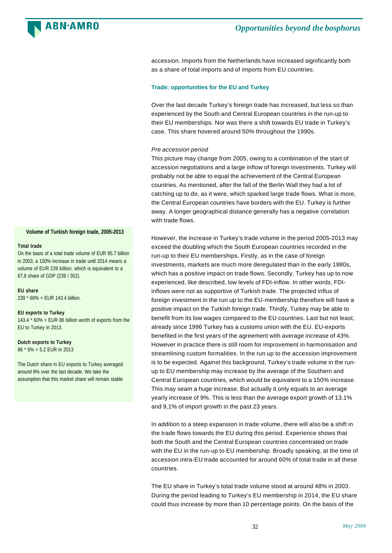**ARN-AMRO** 

accession. Imports from the Netherlands have increased significantly both as a share of total imports and of imports from EU countries.

### **Trade: opportunities for the EU and Turkey**

Over the last decade Turkey's foreign trade has increased, but less so than experienced by the South and Central European countries in the run-up to their EU memberships. Nor was there a shift towards EU trade in Turkey's case. This share hovered around 50% throughout the 1990s.

### *Pre accession period*

This picture may change from 2005, owing to a combination of the start of accession negotiations and a large inflow of foreign investments. Turkey will probably not be able to equal the achievement of the Central European countries. As mentioned, after the fall of the Berlin Wall they had a lot of catching up to do, as it were, which sparked large trade flows. What is more, the Central European countries have borders with the EU. Turkey is further away. A longer geographical distance generally has a negative correlation with trade flows.

However, the increase in Turkey's trade volume in the period 2005-2013 may exceed the doubling which the South European countries recorded in the run-up to their EU memberships. Firstly, as in the case of foreign investments, markets are much more deregulated than in the early 1980s, which has a positive impact on trade flows. Secondly, Turkey has up to now experienced, like described, low levels of FDI-inflow. In other words, FDIinflows were not as supportive of Turkish trade. The projected influx of foreign investment in the run up to the EU-membership therefore will have a positive impact on the Turkish foreign trade. Thirdly, Turkey may be able to benefit from its low wages compared to the EU countries. Last but not least, already since 1996 Turkey has a customs union with the EU. EU-exports benefited in the first years of the agreement with average increase of 43%. However in practice there is still room for improvement in harmonisation and streamlining custom formalities. In the run up to the accession improvement is to be expected. Against this background, Turkey's trade volume in the runup to EU membership may increase by the average of the Southern and Central European countries, which would be equivalent to a 150% increase. This may seam a huge increase. But actually it only equals to an average yearly increase of 9%. This is less than the average export growth of 13,1% and 9,1% of import growth in the past 23 years.

In addition to a steep expansion in trade volume, there will also be a shift in the trade flows towards the EU during this period. Experience shows that both the South and the Central European countries concentrated on trade with the EU in the run-up to EU membership. Broadly speaking, at the time of accession intra-EU trade accounted for around 60% of total trade in all these countries.

The EU share in Turkey's total trade volume stood at around 48% in 2003. During the period leading to Turkey's EU membership in 2014, the EU share could thus increase by more than 10 percentage points. On the basis of the

### **Volume of Turkish foreign trade, 2005-2013**

### **Total trade**

On the basis of a total trade volume of EUR 95.7 billion in 2003, a 150% increase in trade until 2014 means a volume of EUR 239 billion, which is equivalent to a 67,8 share of GDP (239 / 352).

#### **EU share**

239 \* 60% = EUR 143.4 billion.

#### **EU exports to Turkey**

143.4  $*$  60% = EUR 86 billion worth of exports from the EU to Turkey in 2013.

### **Dutch exports to Turkey**

86 \* 6% = 5.2 EUR in 2013

The Dutch share in EU exports to Turkey averaged around 6% over the last decade. We take the assumption that this market share will remain stable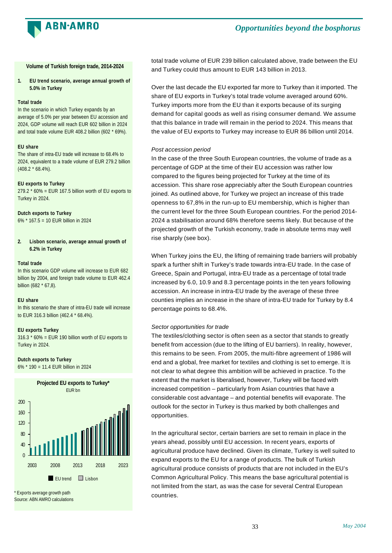![](_page_33_Picture_0.jpeg)

**Volume of Turkish foreign trade, 2014-2024**

**1. EU trend scenario, average annual growth of 5.0% in Turkey**

### **Total trade**

In the scenario in which Turkey expands by an average of 5.0% per year between EU accession and 2024, GDP volume will reach EUR 602 billion in 2024 and total trade volume EUR 408.2 billion (602 \* 69%).

### **EU share**

The share of intra-EU trade will increase to 68.4% to 2024, equivalent to a trade volume of EUR 279.2 billion (408.2 \* 68.4%).

### **EU exports to Turkey**

 $279.2 * 60\% = EUR 167.5$  billion worth of EU exports to Turkey in 2024.

### **Dutch exports to Turkey**

6% \* 167.5 = 10 EUR billion in 2024

**2. Lisbon scenario, average annual growth of 6.2% in Turkey**

#### **Total trade**

In this scenario GDP volume will increase to EUR 682 billion by 2004, and foreign trade volume to EUR 462.4 billion (682 \* 67,8).

### **EU share**

In this scenario the share of intra-EU trade will increase to EUR 316.3 billion (462.4 \* 68.4%).

### **EU exports Turkey**

 $316.3 * 60\% = EUR 190$  billion worth of EU exports to Turkey in 2024.

### **Dutch exports to Turkey**

6% \* 190 = 11.4 EUR billion in 2024

![](_page_33_Figure_21.jpeg)

\* Exports average growth path Source: ABN AMRO calculations total trade volume of EUR 239 billion calculated above, trade between the EU and Turkey could thus amount to EUR 143 billion in 2013.

Over the last decade the EU exported far more to Turkey than it imported. The share of EU exports in Turkey's total trade volume averaged around 60%. Turkey imports more from the EU than it exports because of its surging demand for capital goods as well as rising consumer demand. We assume that this balance in trade will remain in the period to 2024. This means that the value of EU exports to Turkey may increase to EUR 86 billion until 2014.

### *Post accession period*

In the case of the three South European countries, the volume of trade as a percentage of GDP at the time of their EU accession was rather low compared to the figures being projected for Turkey at the time of its accession. This share rose appreciably after the South European countries joined. As outlined above, for Turkey we project an increase of this trade openness to 67,8% in the run-up to EU membership, which is higher than the current level for the three South European countries. For the period 2014- 2024 a stabilisation around 68% therefore seems likely. But because of the projected growth of the Turkish economy, trade in absolute terms may well rise sharply (see box).

When Turkey joins the EU, the lifting of remaining trade barriers will probably spark a further shift in Turkey's trade towards intra-EU trade. In the case of Greece, Spain and Portugal, intra-EU trade as a percentage of total trade increased by 6.0, 10.9 and 8.3 percentage points in the ten years following accession. An increase in intra-EU trade by the average of these three counties implies an increase in the share of intra-EU trade for Turkey by 8.4 percentage points to 68.4%.

### *Sector opportunities for trade*

The textiles/clothing sector is often seen as a sector that stands to greatly benefit from accession (due to the lifting of EU barriers). In reality, however, this remains to be seen. From 2005, the multi-fibre agreement of 1986 will end and a global, free market for textiles and clothing is set to emerge. It is not clear to what degree this ambition will be achieved in practice. To the extent that the market is liberalised, however, Turkey will be faced with increased competition – particularly from Asian countries that have a considerable cost advantage – and potential benefits will evaporate. The outlook for the sector in Turkey is thus marked by both challenges and opportunities.

In the agricultural sector, certain barriers are set to remain in place in the years ahead, possibly until EU accession. In recent years, exports of agricultural produce have declined. Given its climate, Turkey is well suited to expand exports to the EU for a range of products. The bulk of Turkish agricultural produce consists of products that are not included in the EU's Common Agricultural Policy. This means the base agricultural potential is not limited from the start, as was the case for several Central European countries.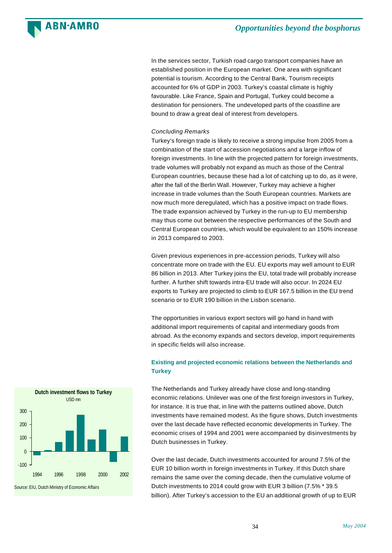![](_page_34_Picture_0.jpeg)

In the services sector, Turkish road cargo transport companies have an established position in the European market. One area with significant potential is tourism. According to the Central Bank, Tourism receipts accounted for 6% of GDP in 2003. Turkey's coastal climate is highly favourable. Like France, Spain and Portugal, Turkey could become a destination for pensioners. The undeveloped parts of the coastline are bound to draw a great deal of interest from developers.

### *Concluding Remarks*

Turkey's foreign trade is likely to receive a strong impulse from 2005 from a combination of the start of accession negotiations and a large inflow of foreign investments. In line with the projected pattern for foreign investments, trade volumes will probably not expand as much as those of the Central European countries, because these had a lot of catching up to do, as it were, after the fall of the Berlin Wall. However, Turkey may achieve a higher increase in trade volumes than the South European countries. Markets are now much more deregulated, which has a positive impact on trade flows. The trade expansion achieved by Turkey in the run-up to EU membership may thus come out between the respective performances of the South and Central European countries, which would be equivalent to an 150% increase in 2013 compared to 2003.

Given previous experiences in pre-accession periods, Turkey will also concentrate more on trade with the EU. EU exports may well amount to EUR 86 billion in 2013. After Turkey joins the EU, total trade will probably increase further. A further shift towards intra-EU trade will also occur. In 2024 EU exports to Turkey are projected to climb to EUR 167.5 billion in the EU trend scenario or to EUR 190 billion in the Lisbon scenario.

The opportunities in various export sectors will go hand in hand with additional import requirements of capital and intermediary goods from abroad. As the economy expands and sectors develop, import requirements in specific fields will also increase.

### **Existing and projected economic relations between the Netherlands and Turkey**

The Netherlands and Turkey already have close and long-standing economic relations. Unilever was one of the first foreign investors in Turkey, for instance. It is true that, in line with the patterns outlined above, Dutch investments have remained modest. As the figure shows, Dutch investments over the last decade have reflected economic developments in Turkey. The economic crises of 1994 and 2001 were accompanied by disinvestments by Dutch businesses in Turkey.

Over the last decade, Dutch investments accounted for around 7.5% of the EUR 10 billion worth in foreign investments in Turkey. If this Dutch share remains the same over the coming decade, then the cumulative volume of Dutch investments to 2014 could grow with EUR 3 billion (7.5% \* 39.5 billion). After Turkey's accession to the EU an additional growth of up to EUR

![](_page_34_Figure_10.jpeg)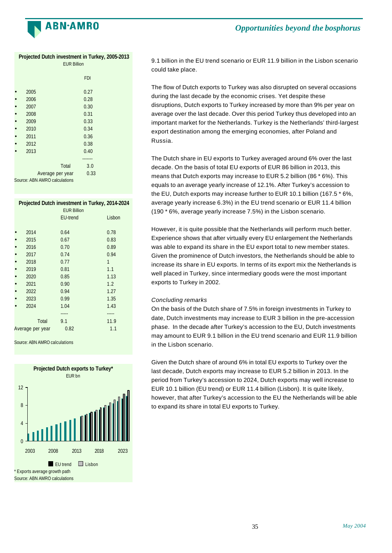![](_page_35_Picture_0.jpeg)

### **Projected Dutch investment in Turkey, 2005-2013**

| <b>EUR Billion</b>            |            |  |  |  |
|-------------------------------|------------|--|--|--|
|                               | <b>FDI</b> |  |  |  |
| 2005                          | 0.27       |  |  |  |
| 2006                          | 0.28       |  |  |  |
| 2007                          | 0.30       |  |  |  |
| 2008                          | 0.31       |  |  |  |
| 2009                          | 0.33       |  |  |  |
| 2010                          | 0.34       |  |  |  |
| 2011                          | 0.36       |  |  |  |
| 2012                          | 0.38       |  |  |  |
| 2013                          | 0.40       |  |  |  |
|                               |            |  |  |  |
| Total                         | 3.0        |  |  |  |
| Average per year              | 0.33       |  |  |  |
| Source: ABN AMRO calculations |            |  |  |  |

### **Projected Dutch investment in Turkey, 2014-2024**

| <b>EUR Billion</b> |                 |        |
|--------------------|-----------------|--------|
|                    | <b>EU-trend</b> | Lisbon |
|                    |                 |        |
| 2014               | 0.64            | 0.78   |
| 2015               | 0.67            | 0.83   |
| 2016               | 0.70            | 0.89   |
| 2017               | 0.74            | 0.94   |
| 2018               | 0.77            | 1      |
| 2019               | 0.81            | 1.1    |
| 2020               | 0.85            | 1.13   |
| 2021               | 0.90            | 1.2    |
| 2022               | 0.94            | 1.27   |
| 2023               | 0.99            | 1.35   |
| 2024               | 1.04            | 1.43   |
|                    |                 |        |
| Total              | 9.1             | 11.9   |
| Average per year   | 0.82            | 1.1    |
|                    |                 |        |

Source: ABN AMRO calculations

![](_page_35_Figure_7.jpeg)

9.1 billion in the EU trend scenario or EUR 11.9 billion in the Lisbon scenario could take place.

The flow of Dutch exports to Turkey was also disrupted on several occasions during the last decade by the economic crises. Yet despite these disruptions, Dutch exports to Turkey increased by more than 9% per year on average over the last decade. Over this period Turkey thus developed into an important market for the Netherlands. Turkey is the Netherlands' third-largest export destination among the emerging economies, after Poland and Russia.

The Dutch share in EU exports to Turkey averaged around 6% over the last decade. On the basis of total EU exports of EUR 86 billion in 2013, this means that Dutch exports may increase to EUR 5.2 billion (86 \* 6%). This equals to an average yearly increase of 12.1%. After Turkey's accession to the EU, Dutch exports may increase further to EUR 10.1 billion (167.5 \* 6%, average yearly increase 6.3%) in the EU trend scenario or EUR 11.4 billion (190 \* 6%, average yearly increase 7.5%) in the Lisbon scenario.

However, it is quite possible that the Netherlands will perform much better. Experience shows that after virtually every EU enlargement the Netherlands was able to expand its share in the EU export total to new member states. Given the prominence of Dutch investors, the Netherlands should be able to increase its share in EU exports. In terms of its export mix the Netherlands is well placed in Turkey, since intermediary goods were the most important exports to Turkey in 2002.

### *Concluding remarks*

On the basis of the Dutch share of 7.5% in foreign investments in Turkey to date, Dutch investments may increase to EUR 3 billion in the pre-accession phase. In the decade after Turkey's accession to the EU, Dutch investments may amount to EUR 9.1 billion in the EU trend scenario and EUR 11.9 billion in the Lisbon scenario.

Given the Dutch share of around 6% in total EU exports to Turkey over the last decade, Dutch exports may increase to EUR 5.2 billion in 2013. In the period from Turkey's accession to 2024, Dutch exports may well increase to EUR 10.1 billion (EU trend) or EUR 11.4 billion (Lisbon). It is quite likely, however, that after Turkey's accession to the EU the Netherlands will be able to expand its share in total EU exports to Turkey.